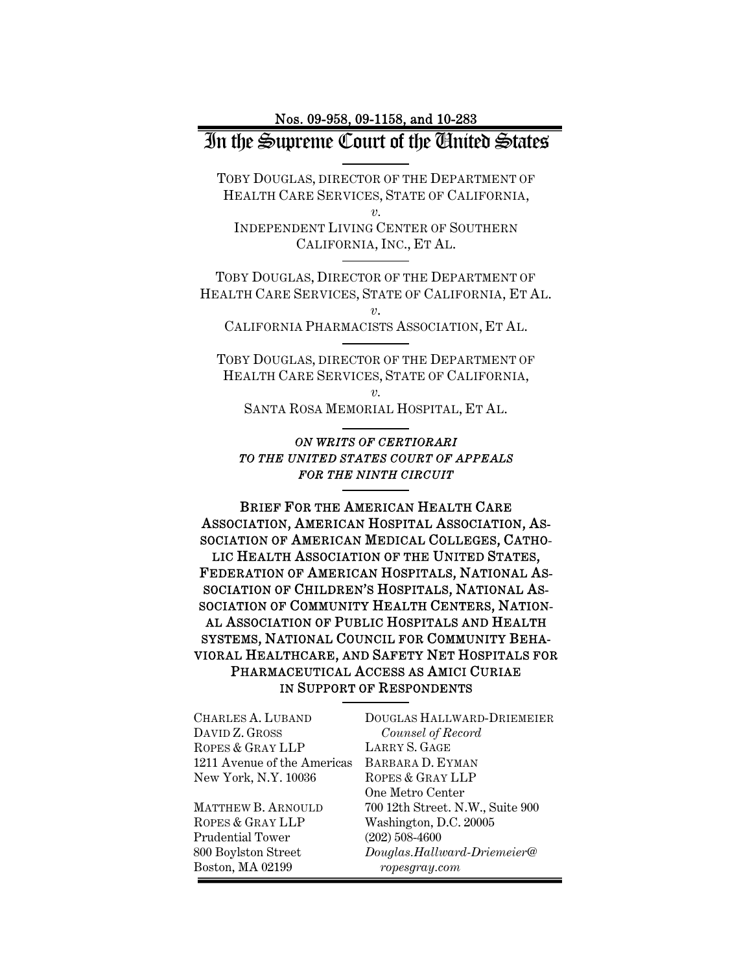#### Nos. 09-958, 09-1158, and 10-283

# In the Supreme Court of the United States

TOBY DOUGLAS, DIRECTOR OF THE DEPARTMENT OF HEALTH CARE SERVICES, STATE OF CALIFORNIA, *v.* 

INDEPENDENT LIVING CENTER OF SOUTHERN CALIFORNIA, INC., ET AL.

TOBY DOUGLAS, DIRECTOR OF THE DEPARTMENT OF HEALTH CARE SERVICES, STATE OF CALIFORNIA, ET AL. *v*.

CALIFORNIA PHARMACISTS ASSOCIATION, ET AL. 

TOBY DOUGLAS, DIRECTOR OF THE DEPARTMENT OF HEALTH CARE SERVICES, STATE OF CALIFORNIA,

*v.*  SANTA ROSA MEMORIAL HOSPITAL, ET AL.

#### *ON WRITS OF CERTIORARI TO THE UNITED STATES COURT OF APPEALS FOR THE NINTH CIRCUIT*

BRIEF FOR THE AMERICAN HEALTH CARE ASSOCIATION, AMERICAN HOSPITAL ASSOCIATION, AS-SOCIATION OF AMERICAN MEDICAL COLLEGES, CATHO-LIC HEALTH ASSOCIATION OF THE UNITED STATES, FEDERATION OF AMERICAN HOSPITALS, NATIONAL AS-SOCIATION OF CHILDREN'S HOSPITALS, NATIONAL AS-SOCIATION OF COMMUNITY HEALTH CENTERS, NATION-AL ASSOCIATION OF PUBLIC HOSPITALS AND HEALTH SYSTEMS, NATIONAL COUNCIL FOR COMMUNITY BEHA-VIORAL HEALTHCARE, AND SAFETY NET HOSPITALS FOR PHARMACEUTICAL ACCESS AS AMICI CURIAE IN SUPPORT OF RESPONDENTS

| CHARLES A. LUBAND           | DOUGLAS HALLWARD-DRIEMEIER       |
|-----------------------------|----------------------------------|
| DAVID Z. GROSS              | Counsel of Record                |
| ROPES & GRAY LLP            | LARRY S. GAGE                    |
| 1211 Avenue of the Americas | BARBARA D. EYMAN                 |
| New York, N.Y. 10036        | ROPES & GRAY LLP                 |
|                             | One Metro Center                 |
| <b>MATTHEW B. ARNOULD</b>   | 700 12th Street. N.W., Suite 900 |
| ROPES & GRAY LLP            | Washington, D.C. 20005           |
| Prudential Tower            | $(202)$ 508-4600                 |
| 800 Boylston Street         | Douglas.Hallward-Driemeier@      |
| Boston, MA 02199            | ropesgray.com                    |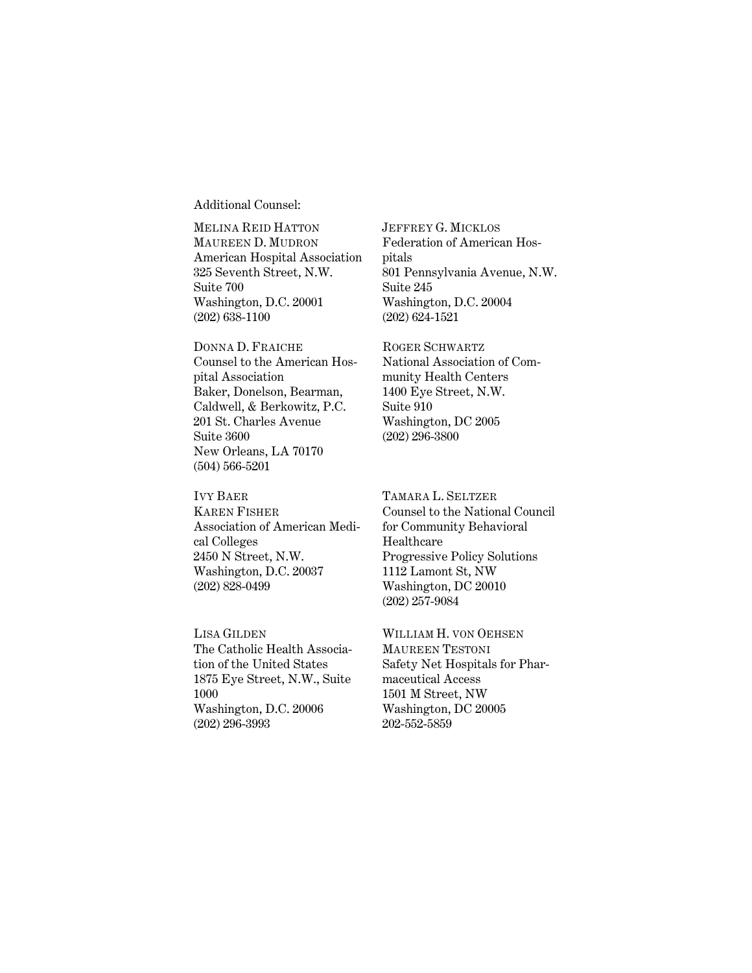Additional Counsel:

MELINA REID HATTON MAUREEN D. MUDRON American Hospital Association 325 Seventh Street, N.W. Suite 700 Washington, D.C. 20001 (202) 638-1100

DONNA D. FRAICHE Counsel to the American Hospital Association Baker, Donelson, Bearman, Caldwell, & Berkowitz, P.C. 201 St. Charles Avenue Suite 3600 New Orleans, LA 70170 (504) 566-5201

IVY BAER KAREN FISHER Association of American Medical Colleges 2450 N Street, N.W. Washington, D.C. 20037 (202) 828-0499

LISA GILDEN The Catholic Health Association of the United States 1875 Eye Street, N.W., Suite 1000 Washington, D.C. 20006 (202) 296-3993

JEFFREY G. MICKLOS Federation of American Hospitals 801 Pennsylvania Avenue, N.W. Suite 245 Washington, D.C. 20004 (202) 624-1521

ROGER SCHWARTZ National Association of Community Health Centers 1400 Eye Street, N.W. Suite 910 Washington, DC 2005 (202) 296-3800

TAMARA L. SELTZER Counsel to the National Council for Community Behavioral Healthcare Progressive Policy Solutions 1112 Lamont St, NW Washington, DC 20010 (202) 257-9084

WILLIAM H. VON OEHSEN MAUREEN TESTONI Safety Net Hospitals for Pharmaceutical Access 1501 M Street, NW Washington, DC 20005 202-552-5859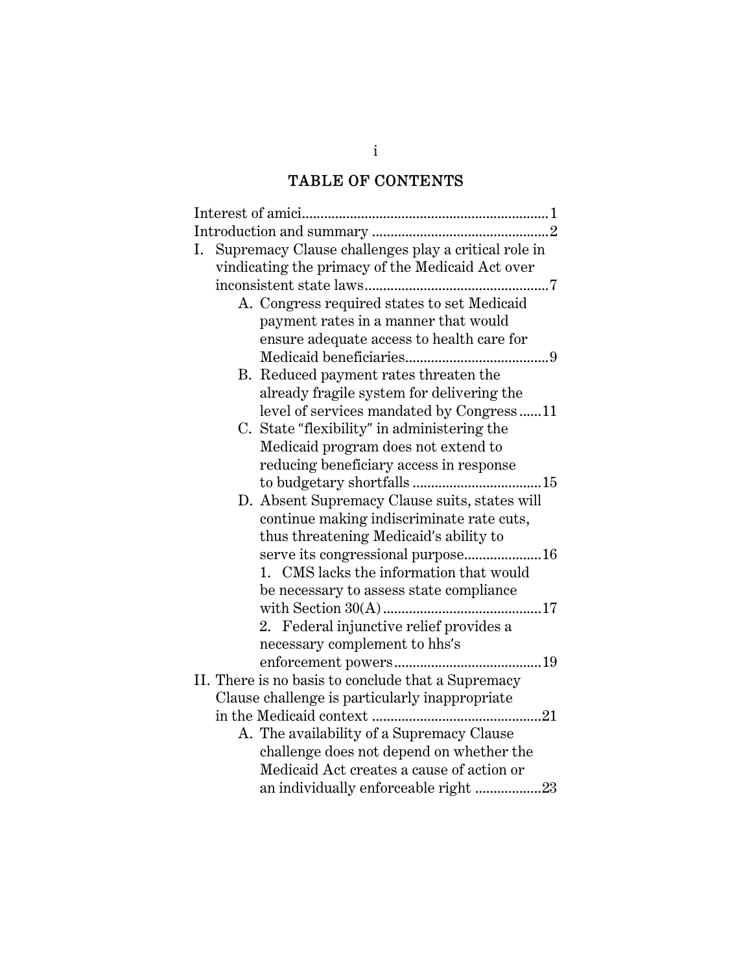# TABLE OF CONTENTS

| Supremacy Clause challenges play a critical role in<br>I. |
|-----------------------------------------------------------|
| vindicating the primacy of the Medicaid Act over          |
|                                                           |
| A. Congress required states to set Medicaid               |
| payment rates in a manner that would                      |
| ensure adequate access to health care for                 |
|                                                           |
| B. Reduced payment rates threaten the                     |
| already fragile system for delivering the                 |
| level of services mandated by Congress11                  |
| C. State "flexibility" in administering the               |
| Medicaid program does not extend to                       |
| reducing beneficiary access in response                   |
|                                                           |
| D. Absent Supremacy Clause suits, states will             |
| continue making indiscriminate rate cuts,                 |
| thus threatening Medicaid's ability to                    |
| serve its congressional purpose16                         |
| 1. CMS lacks the information that would                   |
| be necessary to assess state compliance                   |
| 17                                                        |
| 2. Federal injunctive relief provides a                   |
| necessary complement to hhs's                             |
|                                                           |
| II. There is no basis to conclude that a Supremacy        |
| Clause challenge is particularly inappropriate            |
|                                                           |
| A. The availability of a Supremacy Clause                 |
| challenge does not depend on whether the                  |
| Medicaid Act creates a cause of action or                 |
| an individually enforceable right 23                      |

i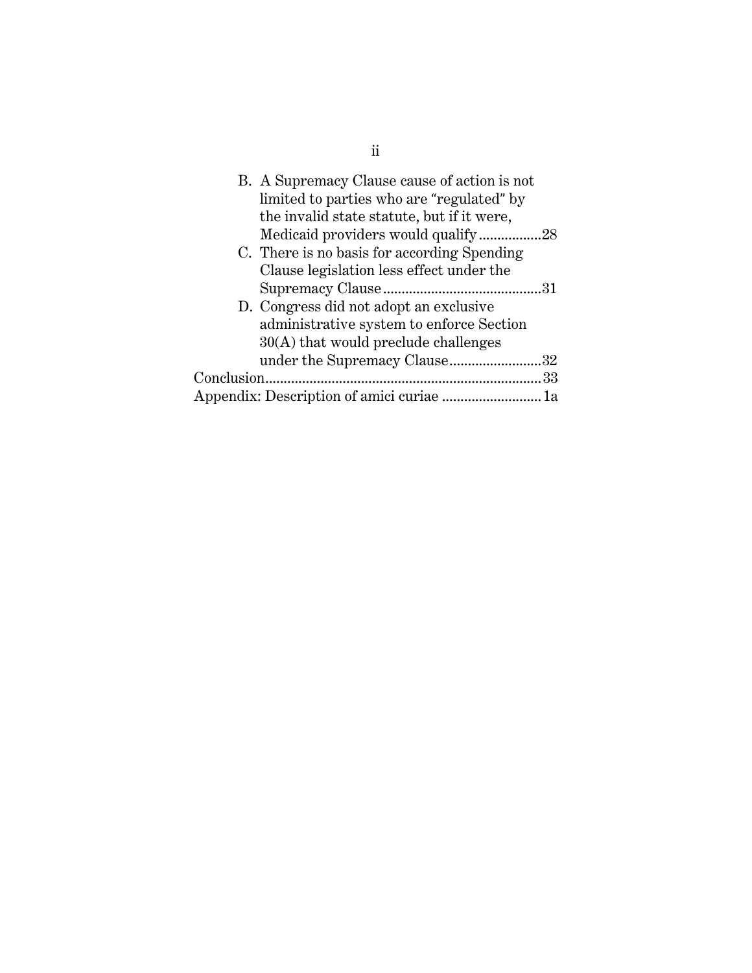| B. A Supremacy Clause cause of action is not |  |
|----------------------------------------------|--|
| limited to parties who are "regulated" by    |  |
| the invalid state statute, but if it were,   |  |
| Medicaid providers would qualify28           |  |
| C. There is no basis for according Spending  |  |
| Clause legislation less effect under the     |  |
|                                              |  |
| D. Congress did not adopt an exclusive       |  |
| administrative system to enforce Section     |  |
| $30(A)$ that would preclude challenges       |  |
| under the Supremacy Clause32                 |  |
|                                              |  |
|                                              |  |

ii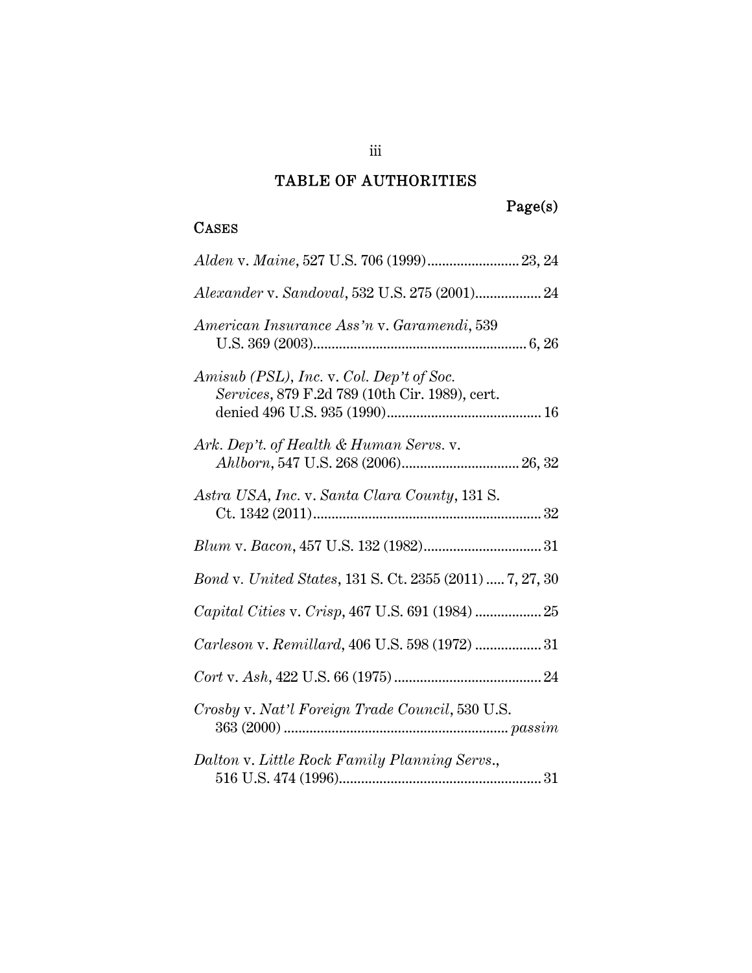# TABLE OF AUTHORITIES

# Page(s)

### CASES

| Alexander v. Sandoval, 532 U.S. 275 (2001) 24                                              |
|--------------------------------------------------------------------------------------------|
| American Insurance Ass'n v. Garamendi, 539                                                 |
| Amisub (PSL), Inc. v. Col. Dep't of Soc.<br>Services, 879 F.2d 789 (10th Cir. 1989), cert. |
| Ark. Dep't. of Health & Human Servs. v.                                                    |
| Astra USA, Inc. v. Santa Clara County, 131 S.                                              |
|                                                                                            |
| <i>Bond v. United States, 131 S. Ct. 2355 (2011)  7, 27, 30</i>                            |
|                                                                                            |
| Carleson v. Remillard, 406 U.S. 598 (1972)  31                                             |
|                                                                                            |
| Crosby v. Nat'l Foreign Trade Council, 530 U.S.                                            |
| Dalton v. Little Rock Family Planning Servs.,                                              |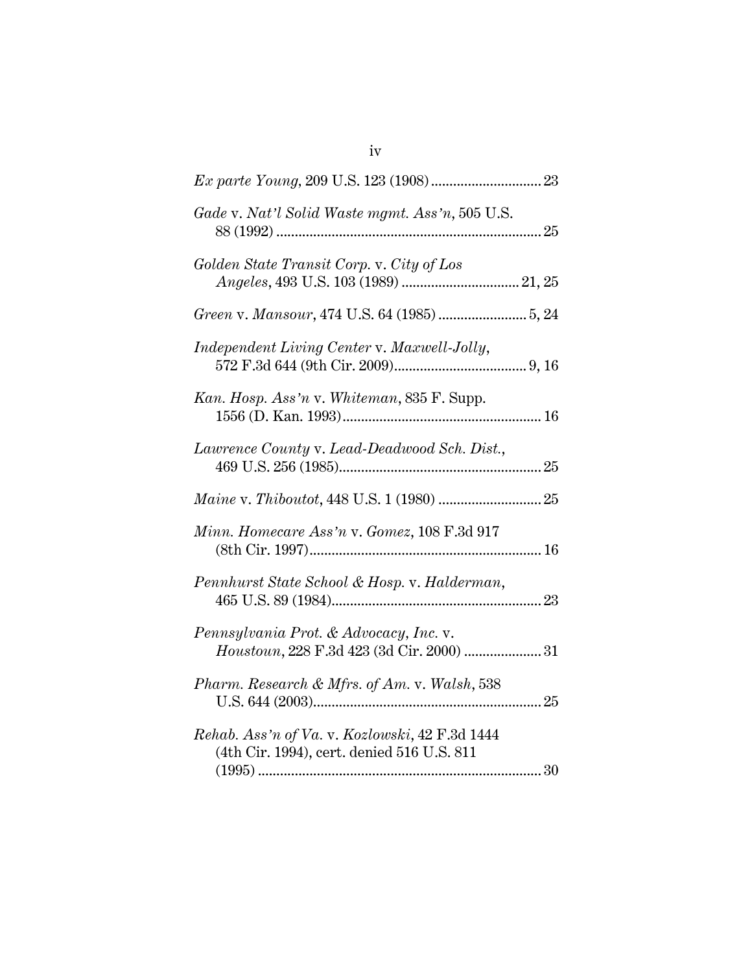| Gade v. Nat'l Solid Waste mgmt. Ass'n, 505 U.S.                                                                                                                                                           |
|-----------------------------------------------------------------------------------------------------------------------------------------------------------------------------------------------------------|
| Golden State Transit Corp. v. City of Los                                                                                                                                                                 |
|                                                                                                                                                                                                           |
| Independent Living Center v. Maxwell-Jolly,                                                                                                                                                               |
| Kan. Hosp. Ass'n v. Whiteman, 835 F. Supp.                                                                                                                                                                |
| Lawrence County v. Lead-Deadwood Sch. Dist.,                                                                                                                                                              |
| $\label{eq:main} \textit{Maine v. Thiboutot, 448 U.S. 1 (1980) }. \vspace{-0.1in}$                                                                                                                        |
| Minn. Homecare Ass'n v. Gomez, 108 F.3d 917                                                                                                                                                               |
| Pennhurst State School & Hosp. v. Halderman,                                                                                                                                                              |
| Pennsylvania Prot. & Advocacy, Inc. v.<br>$\label{eq:1} Houstonn, 228\ \mathrm{F.3d\ 423\ (3d\ \mathrm{Cir.\ 2000)\ }\dots\hspace{-1.7mm}.\dots\hspace{-1.7mm}.\dots\hspace{-1.7mm}.\textcolor{red}{.31}$ |
| Pharm. Research & Mfrs. of Am. v. Walsh, 538                                                                                                                                                              |
| Rehab. Ass'n of Va. v. Kozlowski, 42 F.3d 1444<br>(4th Cir. 1994), cert. denied 516 U.S. 811                                                                                                              |

iv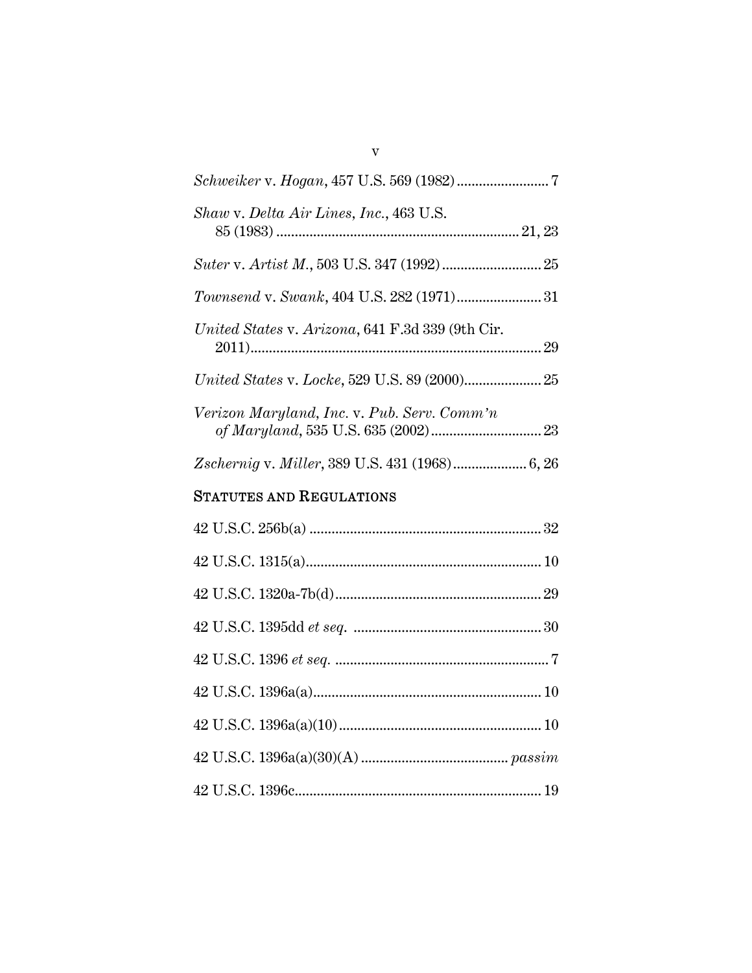42 U.S.C. 1395dd *et seq*. ................................................... 30

42 U.S.C. 1396 *et seq.* .......................................................... 7

42 U.S.C. 1396a(a) .............................................................. 10

42 U.S.C. 1396a(a)(10) ....................................................... 10

42 U.S.C. 1396a(a)(30)(A) ........................................ *passim*

42 U.S.C. 1396c................................................................... 19

v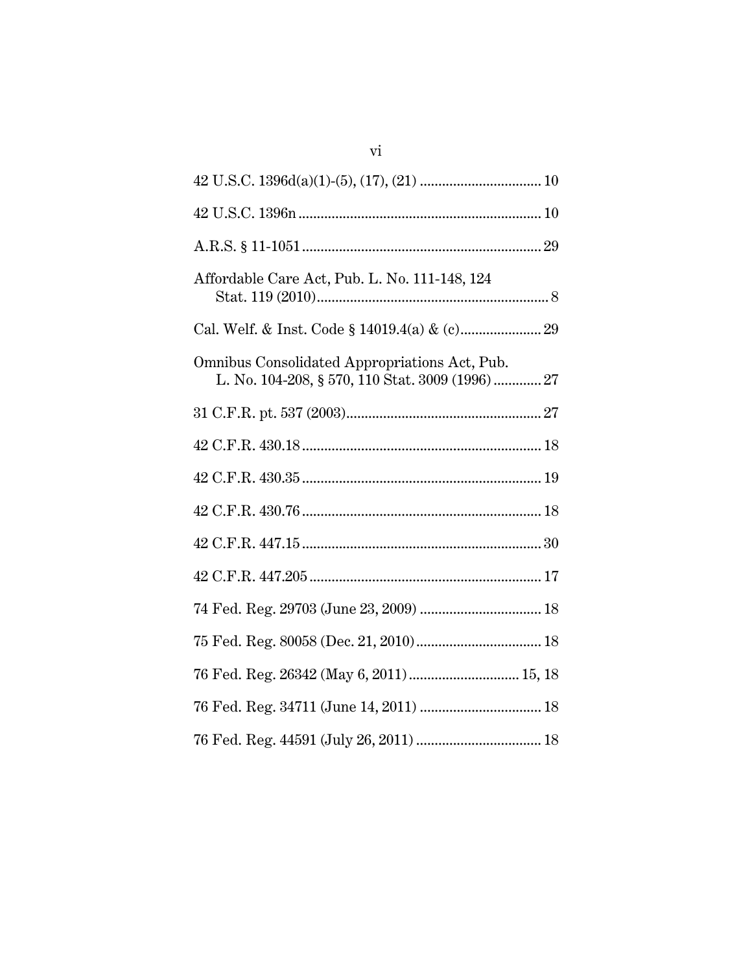| Affordable Care Act, Pub. L. No. 111-148, 124                                                    |
|--------------------------------------------------------------------------------------------------|
|                                                                                                  |
| Omnibus Consolidated Appropriations Act, Pub.<br>L. No. 104-208, § 570, 110 Stat. 3009 (1996) 27 |
|                                                                                                  |
|                                                                                                  |
|                                                                                                  |
|                                                                                                  |
|                                                                                                  |
|                                                                                                  |
|                                                                                                  |
|                                                                                                  |
| 76 Fed. Reg. 26342 (May 6, 2011) 15, 18                                                          |
|                                                                                                  |
|                                                                                                  |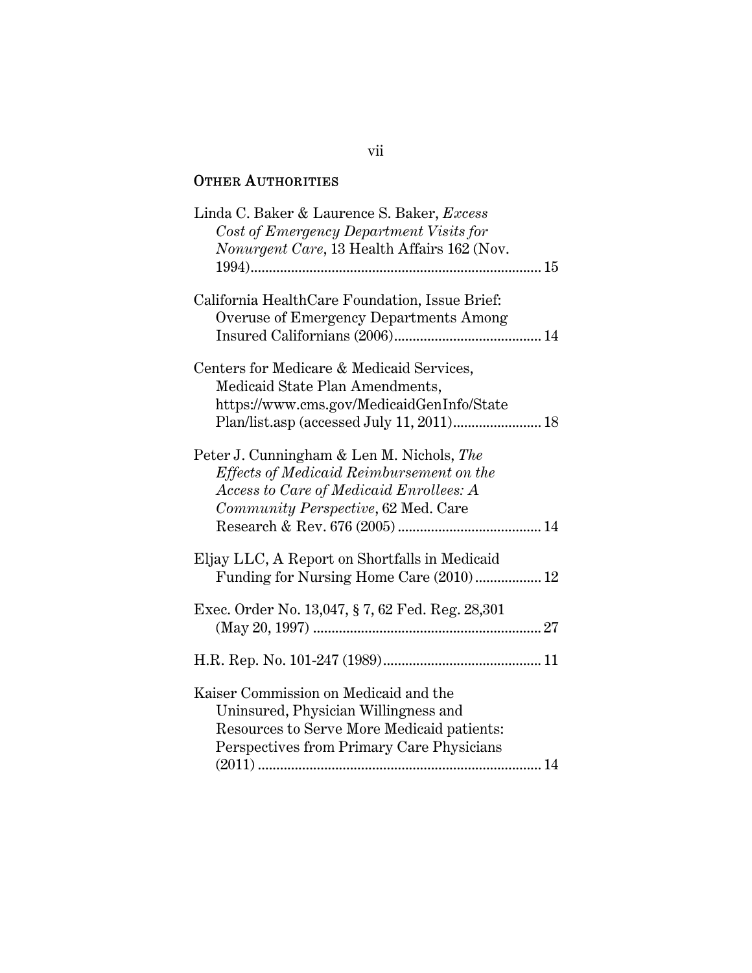### OTHER AUTHORITIES

| Linda C. Baker & Laurence S. Baker, Excess       |
|--------------------------------------------------|
| Cost of Emergency Department Visits for          |
| Nonurgent Care, 13 Health Affairs 162 (Nov.      |
|                                                  |
| California HealthCare Foundation, Issue Brief:   |
| Overuse of Emergency Departments Among           |
|                                                  |
| Centers for Medicare & Medicaid Services,        |
| Medicaid State Plan Amendments,                  |
| https://www.cms.gov/MedicaidGenInfo/State        |
|                                                  |
|                                                  |
| Peter J. Cunningham & Len M. Nichols, The        |
| Effects of Medicaid Reimbursement on the         |
| Access to Care of Medicaid Enrollees: A          |
| Community Perspective, 62 Med. Care              |
|                                                  |
|                                                  |
| Eljay LLC, A Report on Shortfalls in Medicaid    |
| Funding for Nursing Home Care (2010) 12          |
|                                                  |
| Exec. Order No. 13,047, § 7, 62 Fed. Reg. 28,301 |
|                                                  |
|                                                  |
| Kaiser Commission on Medicaid and the            |
| Uninsured, Physician Willingness and             |
| Resources to Serve More Medicaid patients:       |
| Perspectives from Primary Care Physicians        |
|                                                  |
|                                                  |

#### vii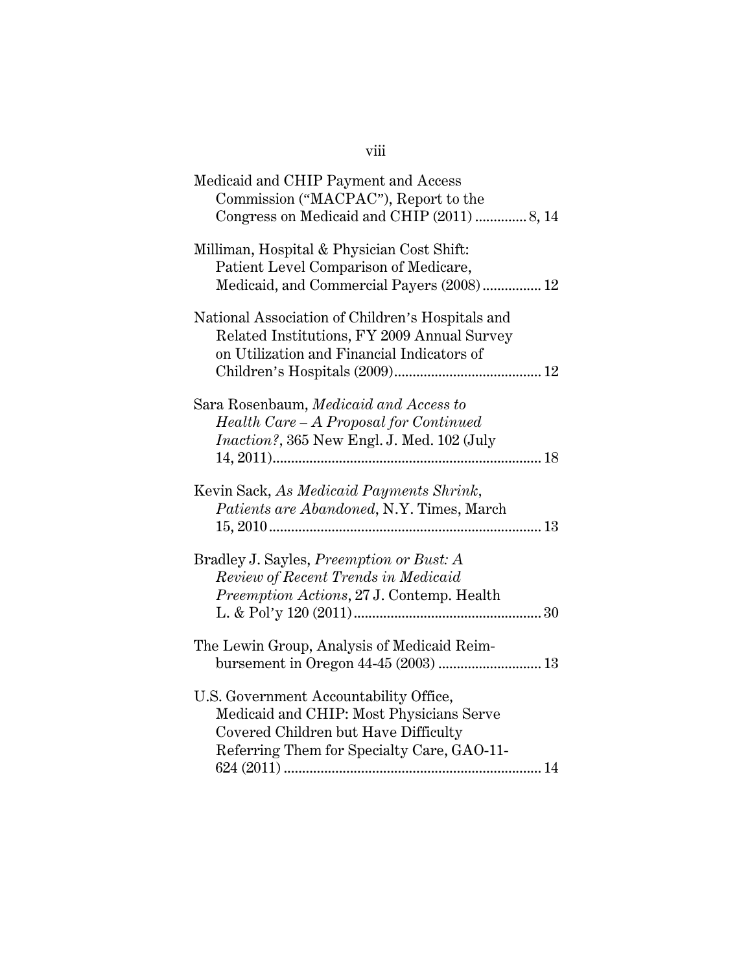| Medicaid and CHIP Payment and Access<br>Commission ("MACPAC"), Report to the<br>Congress on Medicaid and CHIP (2011)  8, 14                                              |
|--------------------------------------------------------------------------------------------------------------------------------------------------------------------------|
| Milliman, Hospital & Physician Cost Shift:<br>Patient Level Comparison of Medicare,<br>Medicaid, and Commercial Payers (2008) 12                                         |
| National Association of Children's Hospitals and<br>Related Institutions, FY 2009 Annual Survey<br>on Utilization and Financial Indicators of                            |
| Sara Rosenbaum, Medicaid and Access to<br>Health Care - A Proposal for Continued<br><i>Inaction?</i> , 365 New Engl. J. Med. 102 (July                                   |
| Kevin Sack, As Medicaid Payments Shrink,<br>Patients are Abandoned, N.Y. Times, March                                                                                    |
| Bradley J. Sayles, <i>Preemption or Bust: A</i><br>Review of Recent Trends in Medicaid<br>Preemption Actions, 27 J. Contemp. Health                                      |
| The Lewin Group, Analysis of Medicaid Reim-<br>bursement in Oregon 44-45 (2003)  13                                                                                      |
| U.S. Government Accountability Office,<br>Medicaid and CHIP: Most Physicians Serve<br>Covered Children but Have Difficulty<br>Referring Them for Specialty Care, GAO-11- |

viii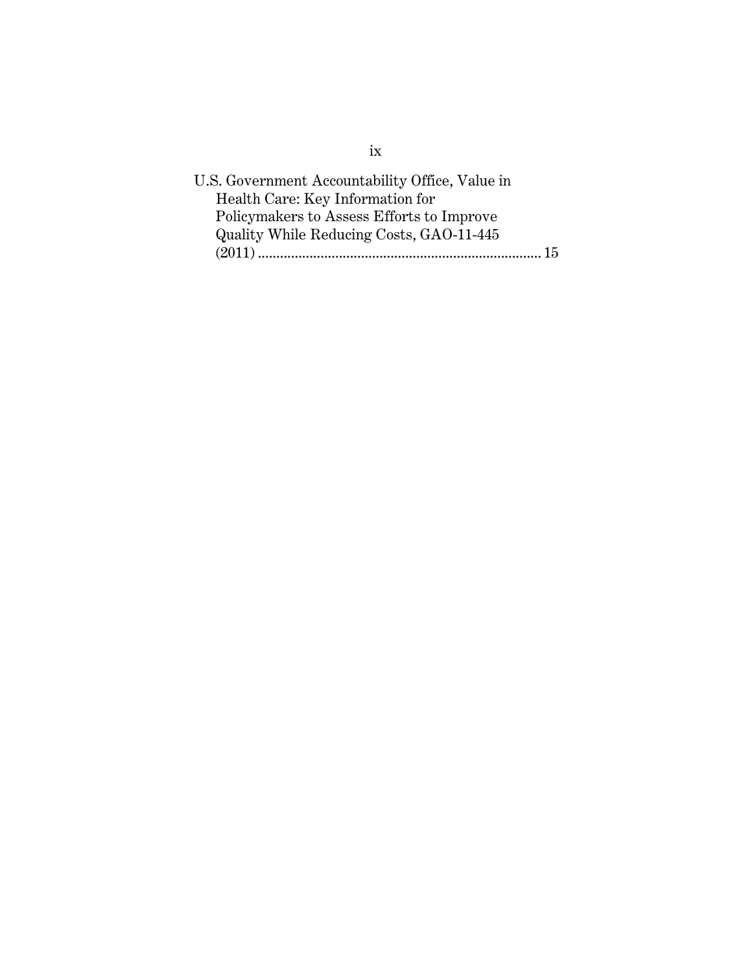| U.S. Government Accountability Office, Value in |  |
|-------------------------------------------------|--|
| Health Care: Key Information for                |  |
| Policymakers to Assess Efforts to Improve       |  |
| Quality While Reducing Costs, GAO-11-445        |  |
|                                                 |  |
|                                                 |  |

ix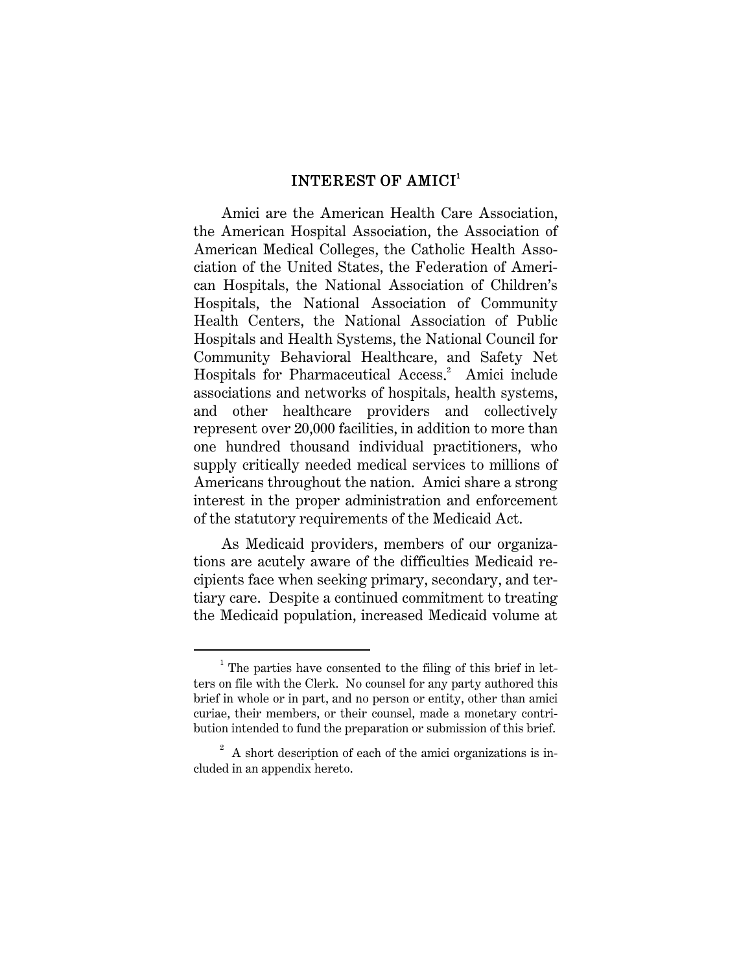#### INTEREST OF AMICI<sup>1</sup>

Amici are the American Health Care Association, the American Hospital Association, the Association of American Medical Colleges, the Catholic Health Association of the United States, the Federation of American Hospitals, the National Association of Children's Hospitals, the National Association of Community Health Centers, the National Association of Public Hospitals and Health Systems, the National Council for Community Behavioral Healthcare, and Safety Net Hospitals for Pharmaceutical Access. 2 Amici include associations and networks of hospitals, health systems, and other healthcare providers and collectively represent over 20,000 facilities, in addition to more than one hundred thousand individual practitioners, who supply critically needed medical services to millions of Americans throughout the nation. Amici share a strong interest in the proper administration and enforcement of the statutory requirements of the Medicaid Act.

As Medicaid providers, members of our organizations are acutely aware of the difficulties Medicaid recipients face when seeking primary, secondary, and tertiary care. Despite a continued commitment to treating the Medicaid population, increased Medicaid volume at

 <sup>1</sup>  $1$  The parties have consented to the filing of this brief in letters on file with the Clerk. No counsel for any party authored this brief in whole or in part, and no person or entity, other than amici curiae, their members, or their counsel, made a monetary contribution intended to fund the preparation or submission of this brief.

 $2^2$  A short description of each of the amici organizations is included in an appendix hereto.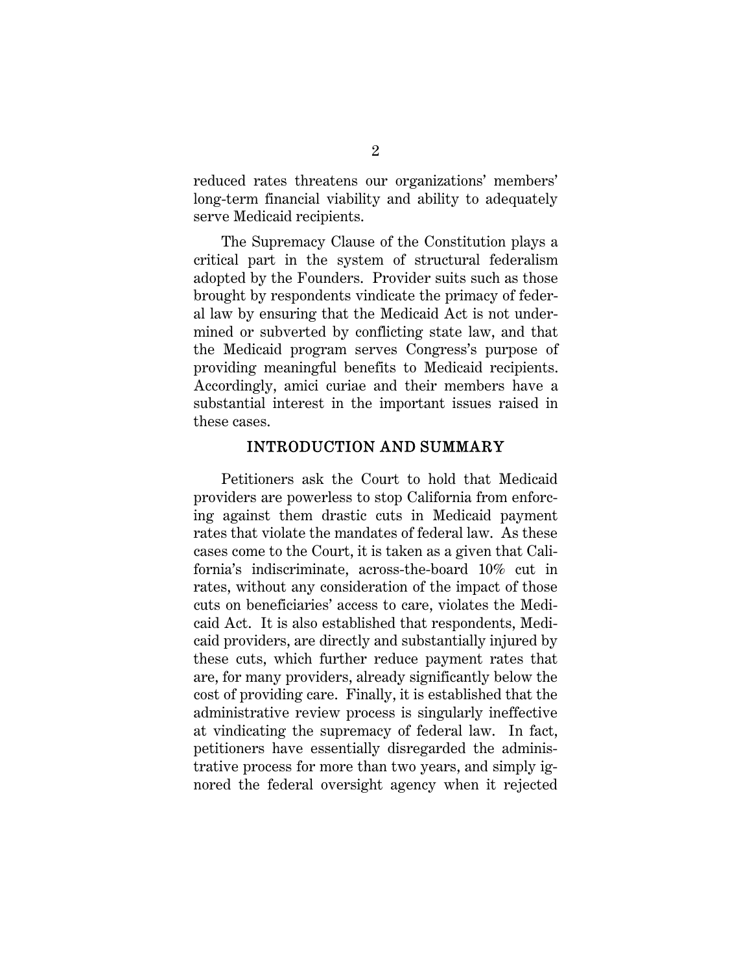reduced rates threatens our organizations' members' long-term financial viability and ability to adequately serve Medicaid recipients.

The Supremacy Clause of the Constitution plays a critical part in the system of structural federalism adopted by the Founders. Provider suits such as those brought by respondents vindicate the primacy of federal law by ensuring that the Medicaid Act is not undermined or subverted by conflicting state law, and that the Medicaid program serves Congress's purpose of providing meaningful benefits to Medicaid recipients. Accordingly, amici curiae and their members have a substantial interest in the important issues raised in these cases.

#### INTRODUCTION AND SUMMARY

Petitioners ask the Court to hold that Medicaid providers are powerless to stop California from enforcing against them drastic cuts in Medicaid payment rates that violate the mandates of federal law. As these cases come to the Court, it is taken as a given that California's indiscriminate, across-the-board 10% cut in rates, without any consideration of the impact of those cuts on beneficiaries' access to care, violates the Medicaid Act. It is also established that respondents, Medicaid providers, are directly and substantially injured by these cuts, which further reduce payment rates that are, for many providers, already significantly below the cost of providing care. Finally, it is established that the administrative review process is singularly ineffective at vindicating the supremacy of federal law. In fact, petitioners have essentially disregarded the administrative process for more than two years, and simply ignored the federal oversight agency when it rejected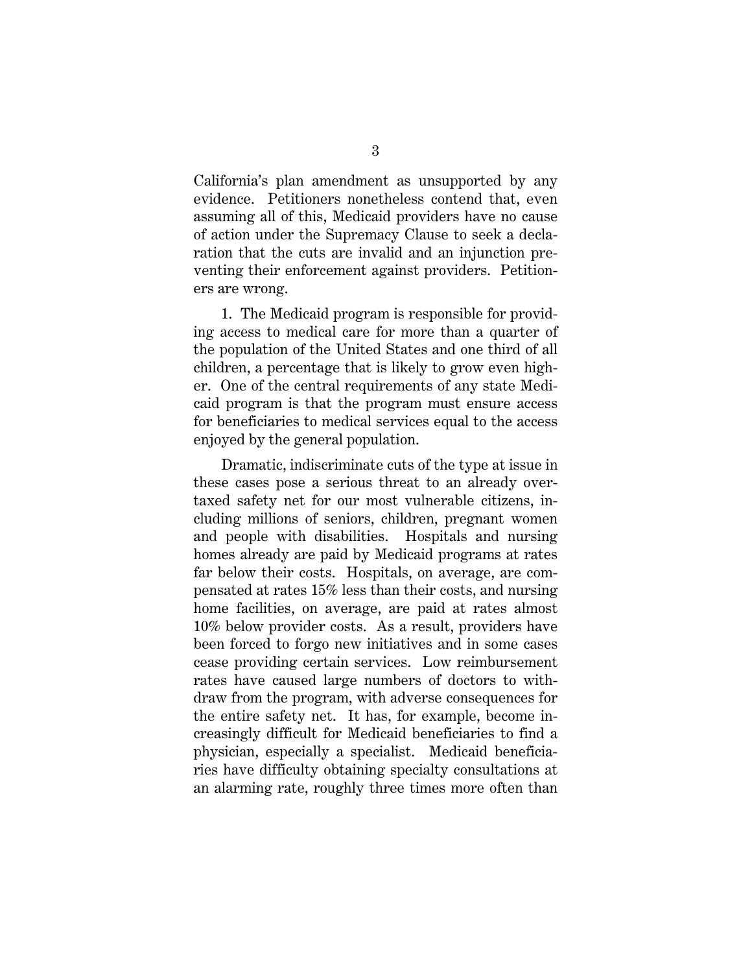California's plan amendment as unsupported by any evidence. Petitioners nonetheless contend that, even assuming all of this, Medicaid providers have no cause of action under the Supremacy Clause to seek a declaration that the cuts are invalid and an injunction preventing their enforcement against providers. Petitioners are wrong.

1. The Medicaid program is responsible for providing access to medical care for more than a quarter of the population of the United States and one third of all children, a percentage that is likely to grow even higher. One of the central requirements of any state Medicaid program is that the program must ensure access for beneficiaries to medical services equal to the access enjoyed by the general population.

Dramatic, indiscriminate cuts of the type at issue in these cases pose a serious threat to an already overtaxed safety net for our most vulnerable citizens, including millions of seniors, children, pregnant women and people with disabilities. Hospitals and nursing homes already are paid by Medicaid programs at rates far below their costs. Hospitals, on average, are compensated at rates 15% less than their costs, and nursing home facilities, on average, are paid at rates almost 10% below provider costs. As a result, providers have been forced to forgo new initiatives and in some cases cease providing certain services. Low reimbursement rates have caused large numbers of doctors to withdraw from the program, with adverse consequences for the entire safety net. It has, for example, become increasingly difficult for Medicaid beneficiaries to find a physician, especially a specialist. Medicaid beneficiaries have difficulty obtaining specialty consultations at an alarming rate, roughly three times more often than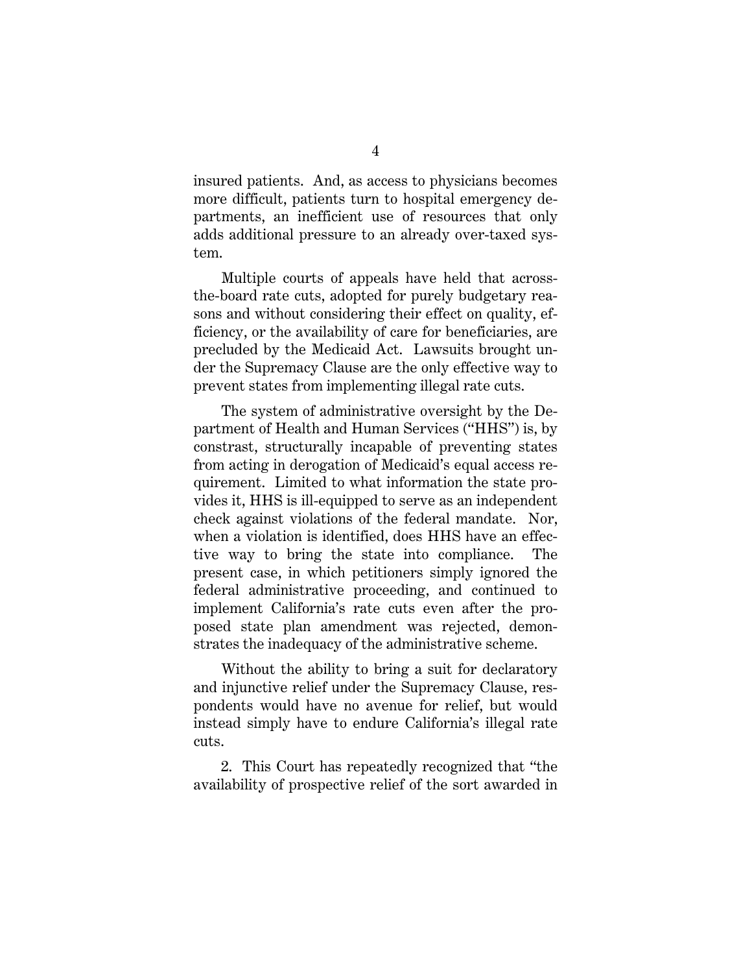insured patients. And, as access to physicians becomes more difficult, patients turn to hospital emergency departments, an inefficient use of resources that only adds additional pressure to an already over-taxed system.

Multiple courts of appeals have held that acrossthe-board rate cuts, adopted for purely budgetary reasons and without considering their effect on quality, efficiency, or the availability of care for beneficiaries, are precluded by the Medicaid Act. Lawsuits brought under the Supremacy Clause are the only effective way to prevent states from implementing illegal rate cuts.

The system of administrative oversight by the Department of Health and Human Services ("HHS") is, by constrast, structurally incapable of preventing states from acting in derogation of Medicaid's equal access requirement. Limited to what information the state provides it, HHS is ill-equipped to serve as an independent check against violations of the federal mandate. Nor, when a violation is identified, does HHS have an effective way to bring the state into compliance. The present case, in which petitioners simply ignored the federal administrative proceeding, and continued to implement California's rate cuts even after the proposed state plan amendment was rejected, demonstrates the inadequacy of the administrative scheme.

Without the ability to bring a suit for declaratory and injunctive relief under the Supremacy Clause, respondents would have no avenue for relief, but would instead simply have to endure California's illegal rate cuts.

2. This Court has repeatedly recognized that "the availability of prospective relief of the sort awarded in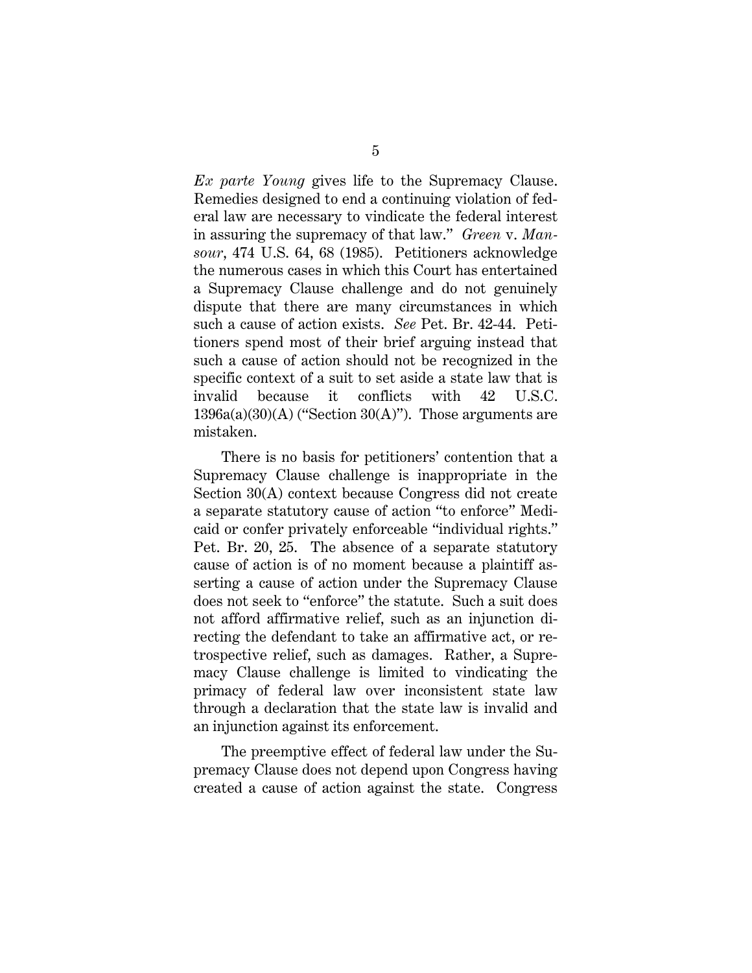*Ex parte Young* gives life to the Supremacy Clause. Remedies designed to end a continuing violation of federal law are necessary to vindicate the federal interest in assuring the supremacy of that law." *Green* v. *Mansour*, 474 U.S. 64, 68 (1985). Petitioners acknowledge the numerous cases in which this Court has entertained a Supremacy Clause challenge and do not genuinely dispute that there are many circumstances in which such a cause of action exists. *See* Pet. Br. 42-44. Petitioners spend most of their brief arguing instead that such a cause of action should not be recognized in the specific context of a suit to set aside a state law that is invalid because it conflicts with 42 U.S.C.  $1396a(a)(30)(A)$  ("Section  $30(A)$ "). Those arguments are mistaken.

There is no basis for petitioners' contention that a Supremacy Clause challenge is inappropriate in the Section 30(A) context because Congress did not create a separate statutory cause of action "to enforce" Medicaid or confer privately enforceable "individual rights." Pet. Br. 20, 25. The absence of a separate statutory cause of action is of no moment because a plaintiff asserting a cause of action under the Supremacy Clause does not seek to "enforce" the statute. Such a suit does not afford affirmative relief, such as an injunction directing the defendant to take an affirmative act, or retrospective relief, such as damages. Rather, a Supremacy Clause challenge is limited to vindicating the primacy of federal law over inconsistent state law through a declaration that the state law is invalid and an injunction against its enforcement.

The preemptive effect of federal law under the Supremacy Clause does not depend upon Congress having created a cause of action against the state. Congress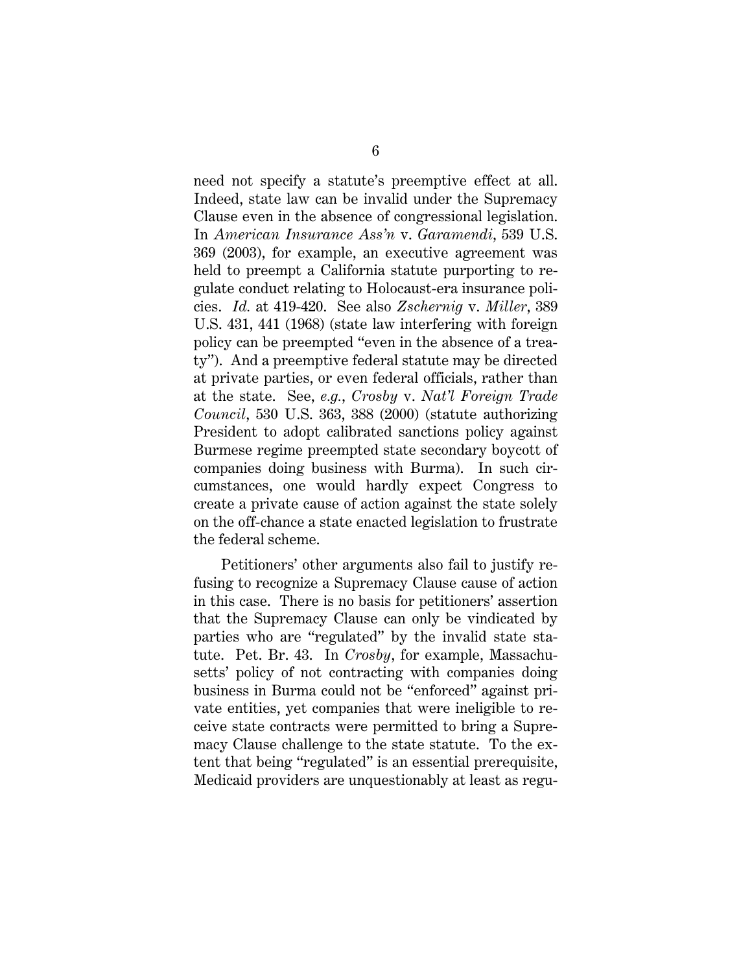need not specify a statute's preemptive effect at all. Indeed, state law can be invalid under the Supremacy Clause even in the absence of congressional legislation. In *American Insurance Ass'n* v. *Garamendi*, 539 U.S. 369 (2003), for example, an executive agreement was held to preempt a California statute purporting to regulate conduct relating to Holocaust-era insurance policies. *Id.* at 419-420. See also *Zschernig* v. *Miller*, 389 U.S. 431, 441 (1968) (state law interfering with foreign policy can be preempted "even in the absence of a treaty"). And a preemptive federal statute may be directed at private parties, or even federal officials, rather than at the state. See, *e.g.*, *Crosby* v. *Nat'l Foreign Trade Council*, 530 U.S. 363, 388 (2000) (statute authorizing President to adopt calibrated sanctions policy against Burmese regime preempted state secondary boycott of companies doing business with Burma). In such circumstances, one would hardly expect Congress to create a private cause of action against the state solely on the off-chance a state enacted legislation to frustrate the federal scheme.

Petitioners' other arguments also fail to justify refusing to recognize a Supremacy Clause cause of action in this case. There is no basis for petitioners' assertion that the Supremacy Clause can only be vindicated by parties who are "regulated" by the invalid state statute. Pet. Br. 43. In *Crosby*, for example, Massachusetts' policy of not contracting with companies doing business in Burma could not be "enforced" against private entities, yet companies that were ineligible to receive state contracts were permitted to bring a Supremacy Clause challenge to the state statute. To the extent that being "regulated" is an essential prerequisite, Medicaid providers are unquestionably at least as regu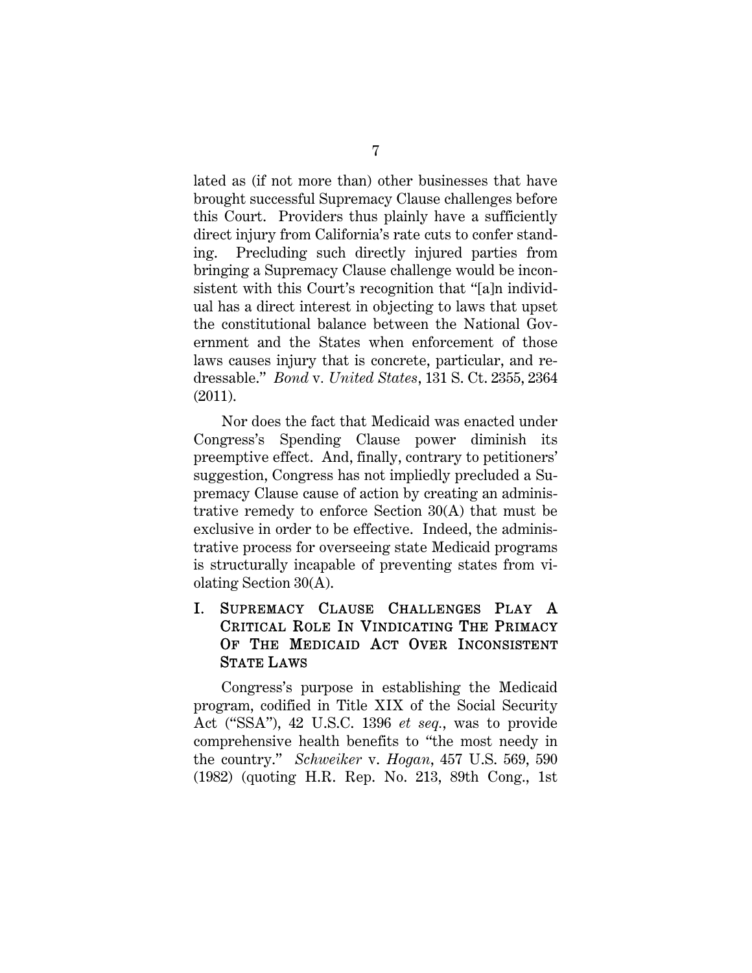lated as (if not more than) other businesses that have brought successful Supremacy Clause challenges before this Court. Providers thus plainly have a sufficiently direct injury from California's rate cuts to confer standing. Precluding such directly injured parties from bringing a Supremacy Clause challenge would be inconsistent with this Court's recognition that "[a]n individual has a direct interest in objecting to laws that upset the constitutional balance between the National Government and the States when enforcement of those laws causes injury that is concrete, particular, and redressable." *Bond* v*. United States*, 131 S. Ct. 2355, 2364 (2011).

Nor does the fact that Medicaid was enacted under Congress's Spending Clause power diminish its preemptive effect. And, finally, contrary to petitioners' suggestion, Congress has not impliedly precluded a Supremacy Clause cause of action by creating an administrative remedy to enforce Section 30(A) that must be exclusive in order to be effective. Indeed, the administrative process for overseeing state Medicaid programs is structurally incapable of preventing states from violating Section 30(A).

### I. SUPREMACY CLAUSE CHALLENGES PLAY A CRITICAL ROLE IN VINDICATING THE PRIMACY OF THE MEDICAID ACT OVER INCONSISTENT STATE LAWS

Congress's purpose in establishing the Medicaid program, codified in Title XIX of the Social Security Act ("SSA"), 42 U.S.C. 1396 *et seq.*, was to provide comprehensive health benefits to "the most needy in the country." *Schweiker* v. *Hogan*, 457 U.S. 569, 590 (1982) (quoting H.R. Rep. No. 213, 89th Cong., 1st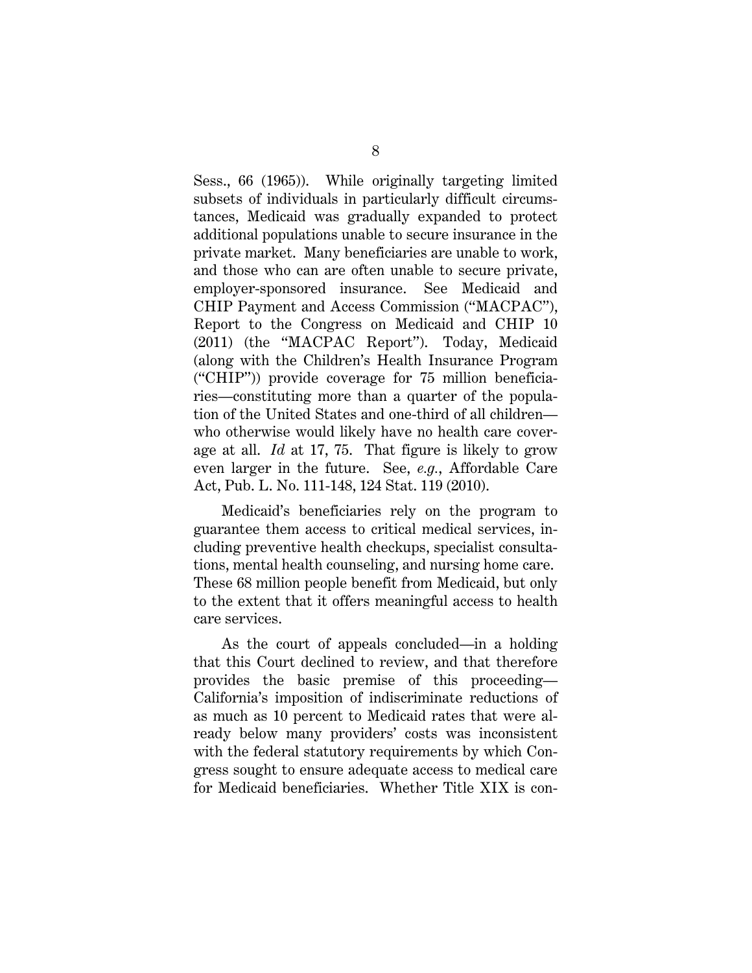Sess., 66 (1965)). While originally targeting limited subsets of individuals in particularly difficult circumstances, Medicaid was gradually expanded to protect additional populations unable to secure insurance in the private market. Many beneficiaries are unable to work, and those who can are often unable to secure private, employer-sponsored insurance. See Medicaid and CHIP Payment and Access Commission ("MACPAC"), Report to the Congress on Medicaid and CHIP 10 (2011) (the "MACPAC Report"). Today, Medicaid (along with the Children's Health Insurance Program ("CHIP")) provide coverage for 75 million beneficiaries—constituting more than a quarter of the population of the United States and one-third of all children who otherwise would likely have no health care coverage at all. *Id* at 17, 75. That figure is likely to grow even larger in the future. See, *e.g.*, Affordable Care Act, Pub. L. No. 111-148, 124 Stat. 119 (2010).

Medicaid's beneficiaries rely on the program to guarantee them access to critical medical services, including preventive health checkups, specialist consultations, mental health counseling, and nursing home care. These 68 million people benefit from Medicaid, but only to the extent that it offers meaningful access to health care services.

As the court of appeals concluded—in a holding that this Court declined to review, and that therefore provides the basic premise of this proceeding— California's imposition of indiscriminate reductions of as much as 10 percent to Medicaid rates that were already below many providers' costs was inconsistent with the federal statutory requirements by which Congress sought to ensure adequate access to medical care for Medicaid beneficiaries. Whether Title XIX is con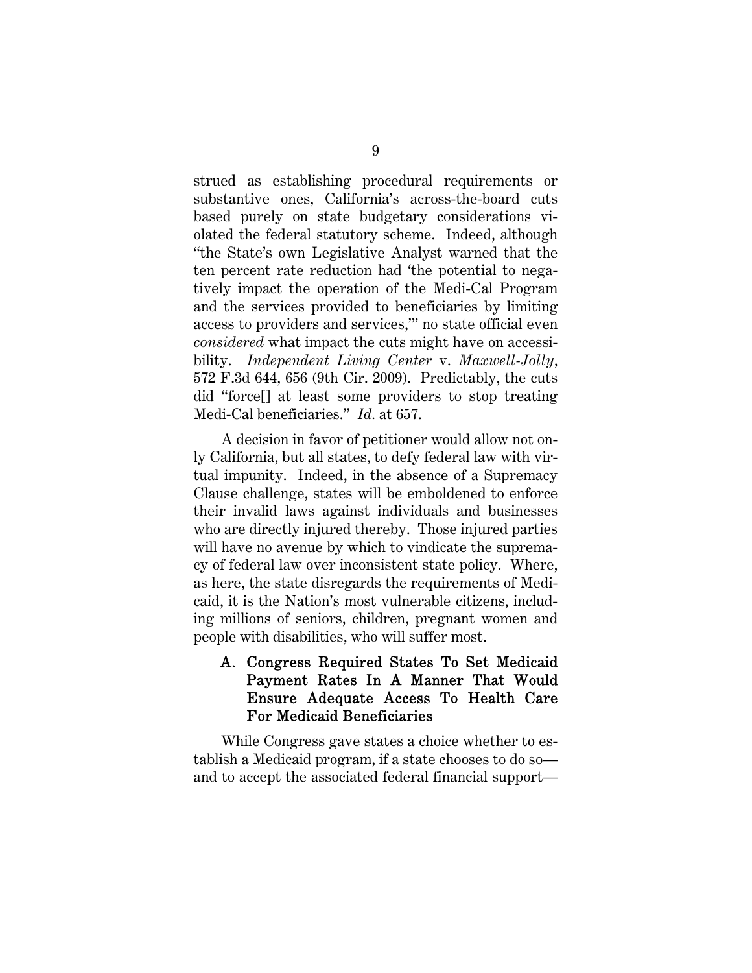strued as establishing procedural requirements or substantive ones, California's across-the-board cuts based purely on state budgetary considerations violated the federal statutory scheme. Indeed, although "the State's own Legislative Analyst warned that the ten percent rate reduction had 'the potential to negatively impact the operation of the Medi-Cal Program and the services provided to beneficiaries by limiting access to providers and services,'" no state official even *considered* what impact the cuts might have on accessibility. *Independent Living Center* v. *Maxwell-Jolly*, 572 F.3d 644, 656 (9th Cir. 2009). Predictably, the cuts did "force[] at least some providers to stop treating Medi-Cal beneficiaries." *Id.* at 657.

A decision in favor of petitioner would allow not only California, but all states, to defy federal law with virtual impunity. Indeed, in the absence of a Supremacy Clause challenge, states will be emboldened to enforce their invalid laws against individuals and businesses who are directly injured thereby. Those injured parties will have no avenue by which to vindicate the supremacy of federal law over inconsistent state policy. Where, as here, the state disregards the requirements of Medicaid, it is the Nation's most vulnerable citizens, including millions of seniors, children, pregnant women and people with disabilities, who will suffer most.

#### A. Congress Required States To Set Medicaid Payment Rates In A Manner That Would Ensure Adequate Access To Health Care For Medicaid Beneficiaries

While Congress gave states a choice whether to establish a Medicaid program, if a state chooses to do so and to accept the associated federal financial support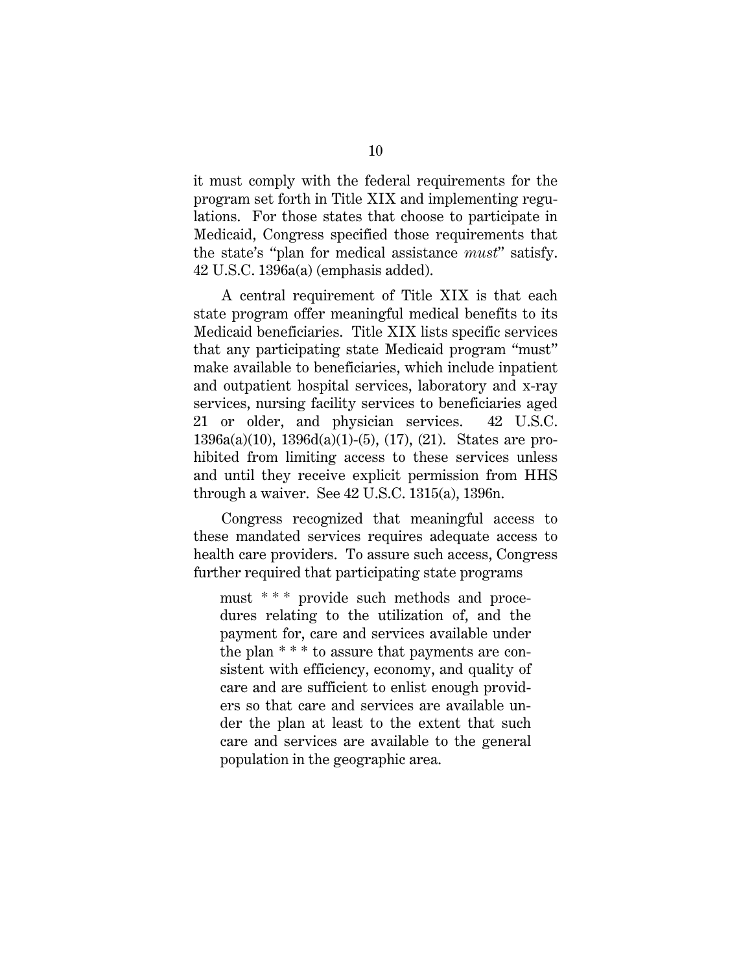it must comply with the federal requirements for the program set forth in Title XIX and implementing regulations. For those states that choose to participate in Medicaid, Congress specified those requirements that the state's "plan for medical assistance *must*" satisfy. 42 U.S.C. 1396a(a) (emphasis added).

A central requirement of Title XIX is that each state program offer meaningful medical benefits to its Medicaid beneficiaries. Title XIX lists specific services that any participating state Medicaid program "must" make available to beneficiaries, which include inpatient and outpatient hospital services, laboratory and x-ray services, nursing facility services to beneficiaries aged 21 or older, and physician services. 42 U.S.C. 1396a(a)(10), 1396d(a)(1)-(5), (17), (21). States are prohibited from limiting access to these services unless and until they receive explicit permission from HHS through a waiver. See 42 U.S.C. 1315(a), 1396n.

Congress recognized that meaningful access to these mandated services requires adequate access to health care providers. To assure such access, Congress further required that participating state programs

must \* \* \* provide such methods and procedures relating to the utilization of, and the payment for, care and services available under the plan \* \* \* to assure that payments are consistent with efficiency, economy, and quality of care and are sufficient to enlist enough providers so that care and services are available under the plan at least to the extent that such care and services are available to the general population in the geographic area.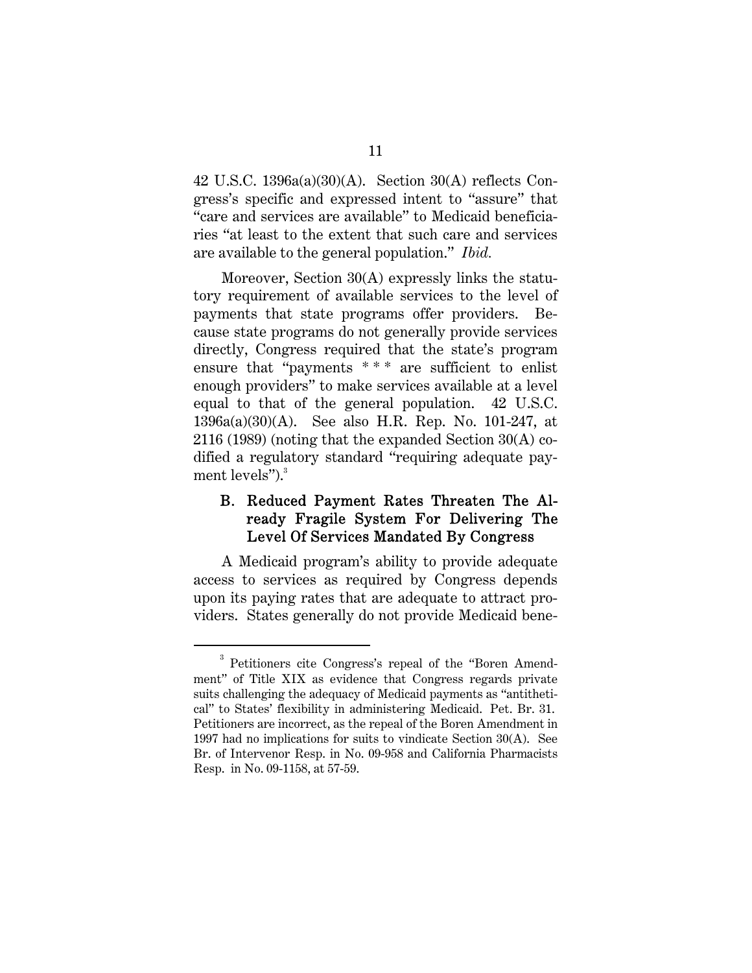42 U.S.C. 1396a(a)(30)(A). Section 30(A) reflects Congress's specific and expressed intent to "assure" that "care and services are available" to Medicaid beneficiaries "at least to the extent that such care and services are available to the general population." *Ibid.*

Moreover, Section 30(A) expressly links the statutory requirement of available services to the level of payments that state programs offer providers. Because state programs do not generally provide services directly, Congress required that the state's program ensure that "payments \*\*\* are sufficient to enlist enough providers" to make services available at a level equal to that of the general population. 42 U.S.C. 1396a(a)(30)(A). See also H.R. Rep. No. 101-247, at 2116 (1989) (noting that the expanded Section 30(A) codified a regulatory standard "requiring adequate payment levels" $\cdot$ <sup>3</sup>.

#### B. Reduced Payment Rates Threaten The Already Fragile System For Delivering The Level Of Services Mandated By Congress

A Medicaid program's ability to provide adequate access to services as required by Congress depends upon its paying rates that are adequate to attract providers. States generally do not provide Medicaid bene-

 $\overline{a}$ <sup>3</sup> Petitioners cite Congress's repeal of the "Boren Amendment" of Title XIX as evidence that Congress regards private suits challenging the adequacy of Medicaid payments as "antithetical" to States' flexibility in administering Medicaid. Pet. Br. 31. Petitioners are incorrect, as the repeal of the Boren Amendment in 1997 had no implications for suits to vindicate Section 30(A). See Br. of Intervenor Resp. in No. 09-958 and California Pharmacists Resp. in No. 09-1158, at 57-59.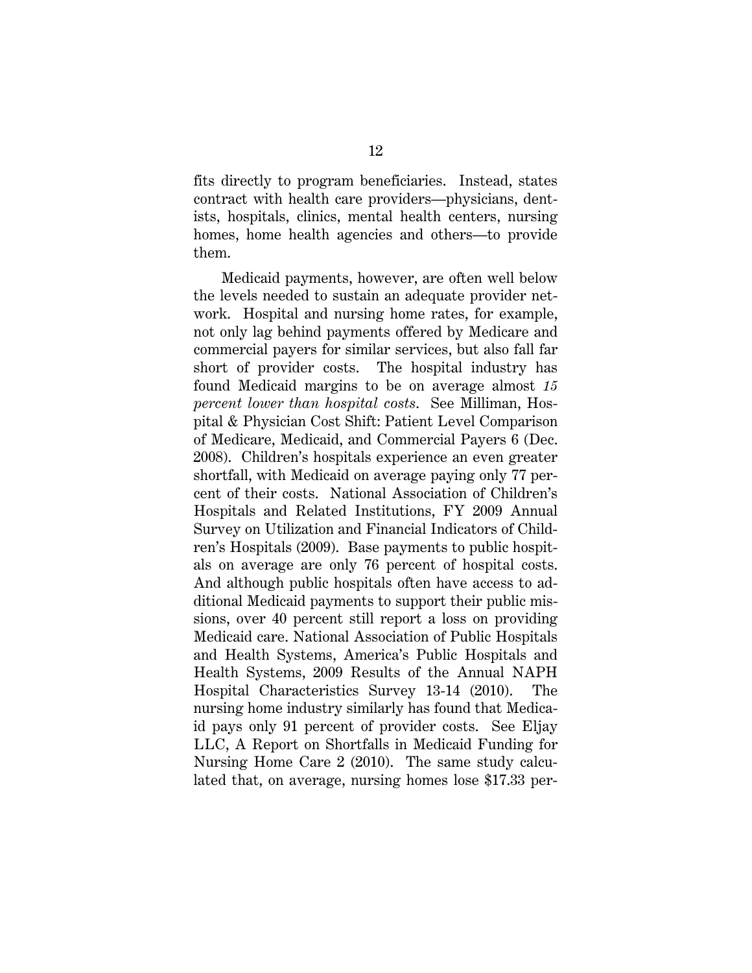fits directly to program beneficiaries. Instead, states contract with health care providers—physicians, dentists, hospitals, clinics, mental health centers, nursing homes, home health agencies and others—to provide them.

Medicaid payments, however, are often well below the levels needed to sustain an adequate provider network. Hospital and nursing home rates, for example, not only lag behind payments offered by Medicare and commercial payers for similar services, but also fall far short of provider costs. The hospital industry has found Medicaid margins to be on average almost *15 percent lower than hospital costs*. See Milliman, Hospital & Physician Cost Shift: Patient Level Comparison of Medicare, Medicaid, and Commercial Payers 6 (Dec. 2008). Children's hospitals experience an even greater shortfall, with Medicaid on average paying only 77 percent of their costs. National Association of Children's Hospitals and Related Institutions, FY 2009 Annual Survey on Utilization and Financial Indicators of Children's Hospitals (2009). Base payments to public hospitals on average are only 76 percent of hospital costs. And although public hospitals often have access to additional Medicaid payments to support their public missions, over 40 percent still report a loss on providing Medicaid care. National Association of Public Hospitals and Health Systems, America's Public Hospitals and Health Systems, 2009 Results of the Annual NAPH Hospital Characteristics Survey 13-14 (2010). The nursing home industry similarly has found that Medicaid pays only 91 percent of provider costs. See Eljay LLC, A Report on Shortfalls in Medicaid Funding for Nursing Home Care 2 (2010). The same study calculated that, on average, nursing homes lose \$17.33 per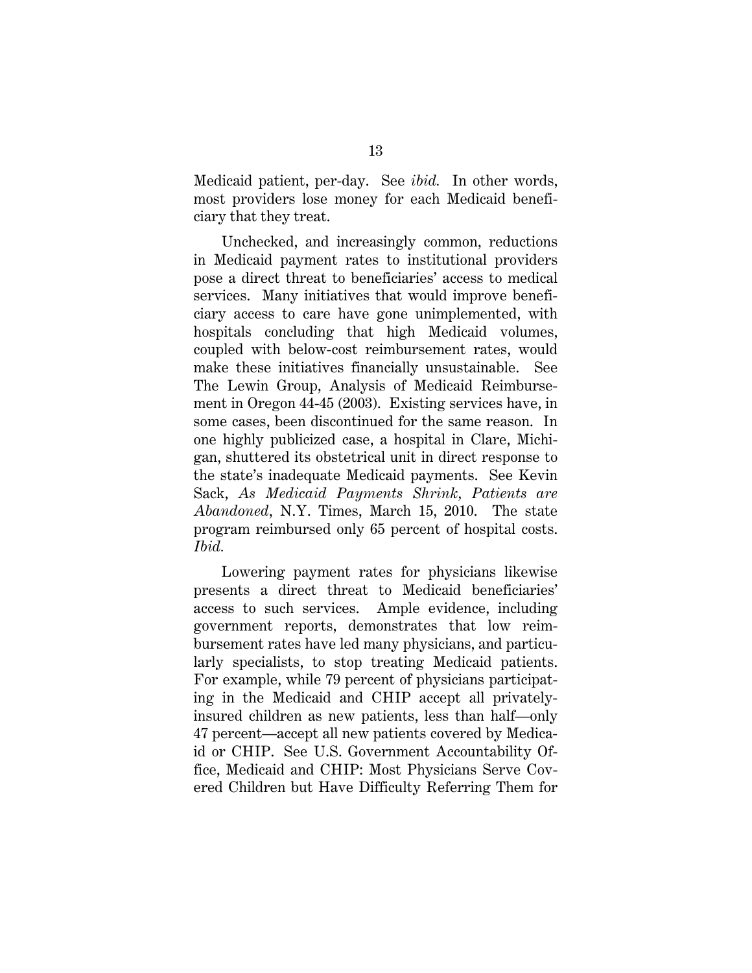Medicaid patient, per-day. See *ibid.* In other words, most providers lose money for each Medicaid beneficiary that they treat.

Unchecked, and increasingly common, reductions in Medicaid payment rates to institutional providers pose a direct threat to beneficiaries' access to medical services. Many initiatives that would improve beneficiary access to care have gone unimplemented, with hospitals concluding that high Medicaid volumes, coupled with below-cost reimbursement rates, would make these initiatives financially unsustainable. See The Lewin Group, Analysis of Medicaid Reimbursement in Oregon 44-45 (2003). Existing services have, in some cases, been discontinued for the same reason. In one highly publicized case, a hospital in Clare, Michigan, shuttered its obstetrical unit in direct response to the state's inadequate Medicaid payments. See Kevin Sack, *As Medicaid Payments Shrink, Patients are Abandoned*, N.Y. Times, March 15, 2010. The state program reimbursed only 65 percent of hospital costs. *Ibid.*

Lowering payment rates for physicians likewise presents a direct threat to Medicaid beneficiaries' access to such services. Ample evidence, including government reports, demonstrates that low reimbursement rates have led many physicians, and particularly specialists, to stop treating Medicaid patients. For example, while 79 percent of physicians participating in the Medicaid and CHIP accept all privatelyinsured children as new patients, less than half—only 47 percent—accept all new patients covered by Medicaid or CHIP. See U.S. Government Accountability Office, Medicaid and CHIP: Most Physicians Serve Covered Children but Have Difficulty Referring Them for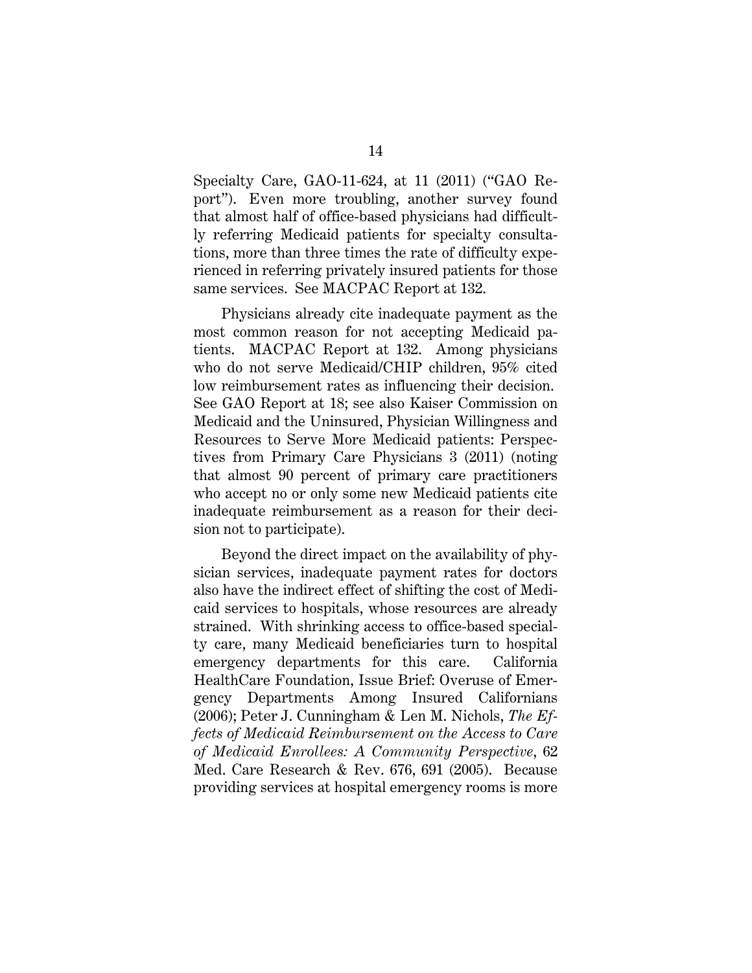Specialty Care, GAO-11-624, at 11 (2011) ("GAO Report"). Even more troubling, another survey found that almost half of office-based physicians had difficultly referring Medicaid patients for specialty consultations, more than three times the rate of difficulty experienced in referring privately insured patients for those same services. See MACPAC Report at 132.

Physicians already cite inadequate payment as the most common reason for not accepting Medicaid patients. MACPAC Report at 132. Among physicians who do not serve Medicaid/CHIP children, 95% cited low reimbursement rates as influencing their decision. See GAO Report at 18; see also Kaiser Commission on Medicaid and the Uninsured, Physician Willingness and Resources to Serve More Medicaid patients: Perspectives from Primary Care Physicians 3 (2011) (noting that almost 90 percent of primary care practitioners who accept no or only some new Medicaid patients cite inadequate reimbursement as a reason for their decision not to participate).

Beyond the direct impact on the availability of physician services, inadequate payment rates for doctors also have the indirect effect of shifting the cost of Medicaid services to hospitals, whose resources are already strained. With shrinking access to office-based specialty care, many Medicaid beneficiaries turn to hospital emergency departments for this care. California HealthCare Foundation, Issue Brief: Overuse of Emergency Departments Among Insured Californians (2006); Peter J. Cunningham & Len M. Nichols, *The Effects of Medicaid Reimbursement on the Access to Care of Medicaid Enrollees: A Community Perspective*, 62 Med. Care Research & Rev. 676, 691 (2005). Because providing services at hospital emergency rooms is more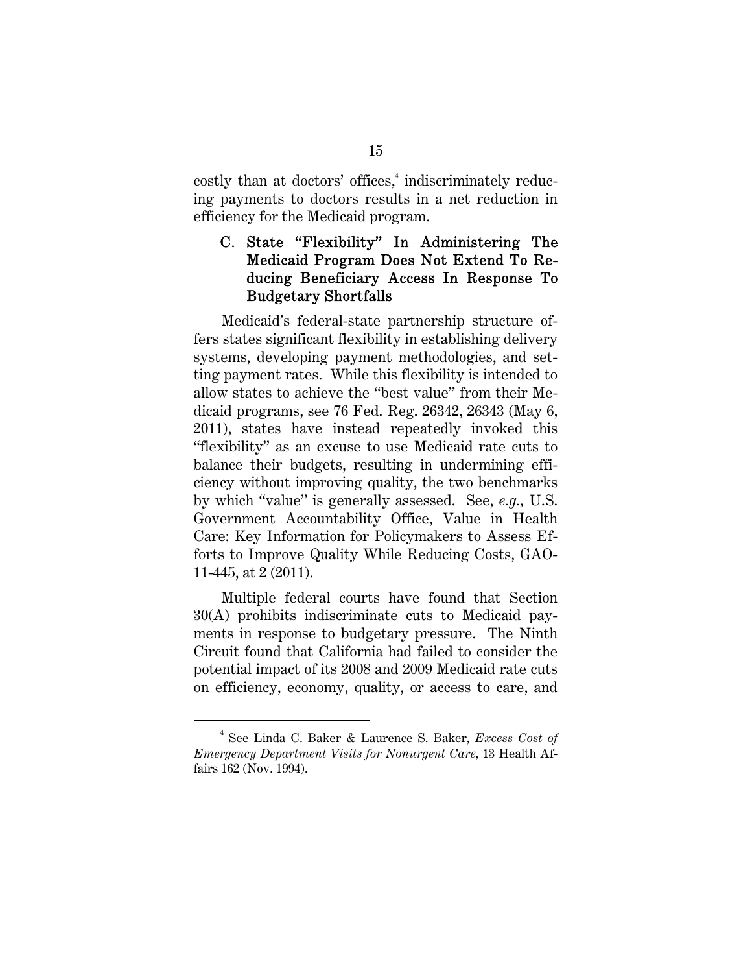costly than at doctors' offices,<sup>4</sup> indiscriminately reducing payments to doctors results in a net reduction in efficiency for the Medicaid program.

### C. State "Flexibility" In Administering The Medicaid Program Does Not Extend To Reducing Beneficiary Access In Response To Budgetary Shortfalls

Medicaid's federal-state partnership structure offers states significant flexibility in establishing delivery systems, developing payment methodologies, and setting payment rates. While this flexibility is intended to allow states to achieve the "best value" from their Medicaid programs, see 76 Fed. Reg. 26342, 26343 (May 6, 2011), states have instead repeatedly invoked this "flexibility" as an excuse to use Medicaid rate cuts to balance their budgets, resulting in undermining efficiency without improving quality, the two benchmarks by which "value" is generally assessed. See, *e.g.,* U.S. Government Accountability Office, Value in Health Care: Key Information for Policymakers to Assess Efforts to Improve Quality While Reducing Costs, GAO-11-445, at 2 (2011).

Multiple federal courts have found that Section 30(A) prohibits indiscriminate cuts to Medicaid payments in response to budgetary pressure. The Ninth Circuit found that California had failed to consider the potential impact of its 2008 and 2009 Medicaid rate cuts on efficiency, economy, quality, or access to care, and

 $\overline{a}$  See Linda C. Baker & Laurence S. Baker, *Excess Cost of Emergency Department Visits for Nonurgent Care,* 13 Health Affairs 162 (Nov. 1994).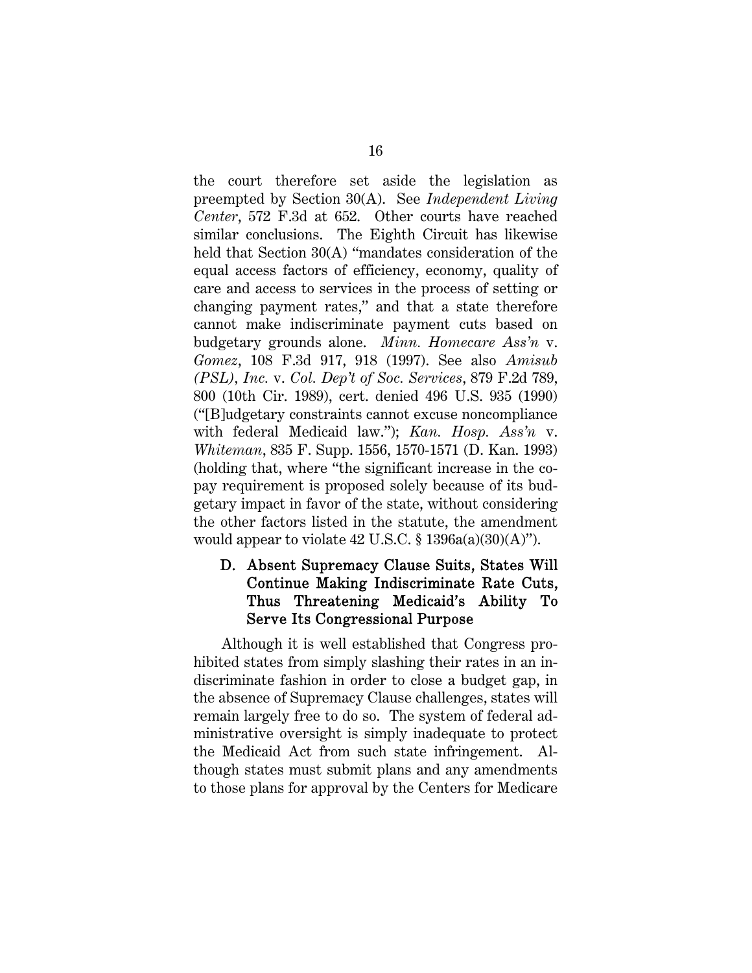the court therefore set aside the legislation as preempted by Section 30(A). See *Independent Living Center*, 572 F.3d at 652. Other courts have reached similar conclusions. The Eighth Circuit has likewise held that Section 30(A) "mandates consideration of the equal access factors of efficiency, economy, quality of care and access to services in the process of setting or changing payment rates," and that a state therefore cannot make indiscriminate payment cuts based on budgetary grounds alone. *Minn. Homecare Ass'n* v. *Gomez*, 108 F.3d 917, 918 (1997). See also *Amisub (PSL), Inc.* v. *Col. Dep't of Soc. Services*, 879 F.2d 789, 800 (10th Cir. 1989), cert. denied 496 U.S. 935 (1990) ("[B]udgetary constraints cannot excuse noncompliance with federal Medicaid law."); *Kan. Hosp. Ass'n* v. *Whiteman*, 835 F. Supp. 1556, 1570-1571 (D. Kan. 1993) (holding that, where "the significant increase in the copay requirement is proposed solely because of its budgetary impact in favor of the state, without considering the other factors listed in the statute, the amendment would appear to violate  $42 \text{ U.S.C.}$  §  $1396a(a)(30)(\text{A})$ ").

#### D. Absent Supremacy Clause Suits, States Will Continue Making Indiscriminate Rate Cuts, Thus Threatening Medicaid's Ability To Serve Its Congressional Purpose

Although it is well established that Congress prohibited states from simply slashing their rates in an indiscriminate fashion in order to close a budget gap, in the absence of Supremacy Clause challenges, states will remain largely free to do so. The system of federal administrative oversight is simply inadequate to protect the Medicaid Act from such state infringement. Although states must submit plans and any amendments to those plans for approval by the Centers for Medicare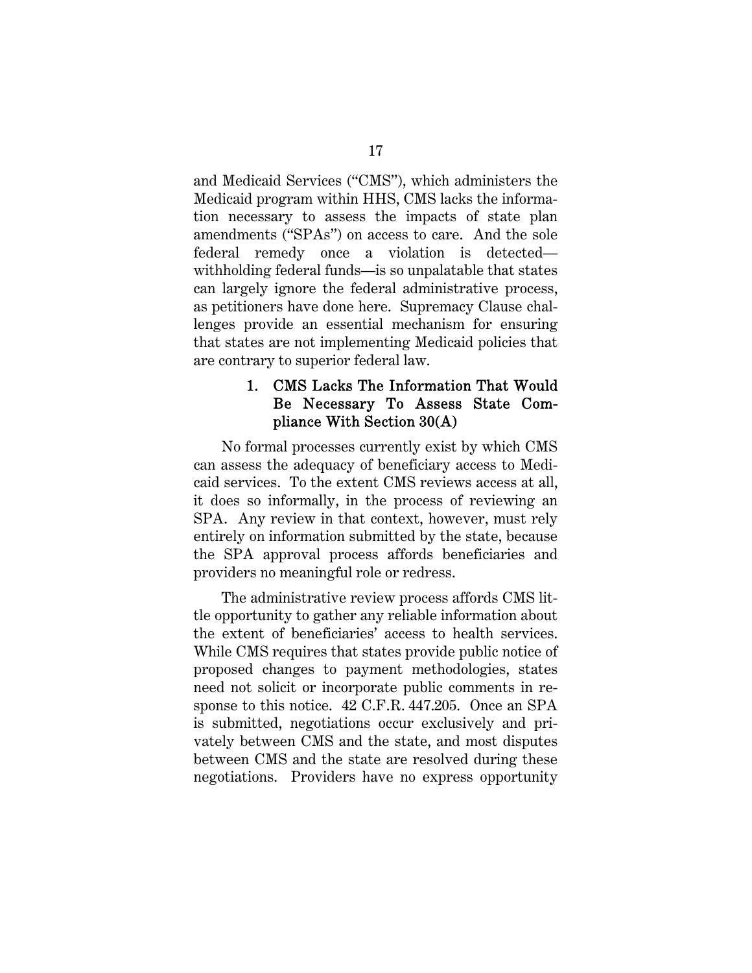and Medicaid Services ("CMS"), which administers the Medicaid program within HHS, CMS lacks the information necessary to assess the impacts of state plan amendments ("SPAs") on access to care. And the sole federal remedy once a violation is detected withholding federal funds—is so unpalatable that states can largely ignore the federal administrative process, as petitioners have done here. Supremacy Clause challenges provide an essential mechanism for ensuring that states are not implementing Medicaid policies that are contrary to superior federal law.

#### 1. CMS Lacks The Information That Would Be Necessary To Assess State Compliance With Section 30(A)

No formal processes currently exist by which CMS can assess the adequacy of beneficiary access to Medicaid services. To the extent CMS reviews access at all, it does so informally, in the process of reviewing an SPA. Any review in that context, however, must rely entirely on information submitted by the state, because the SPA approval process affords beneficiaries and providers no meaningful role or redress.

The administrative review process affords CMS little opportunity to gather any reliable information about the extent of beneficiaries' access to health services. While CMS requires that states provide public notice of proposed changes to payment methodologies, states need not solicit or incorporate public comments in response to this notice. 42 C.F.R. 447.205. Once an SPA is submitted, negotiations occur exclusively and privately between CMS and the state, and most disputes between CMS and the state are resolved during these negotiations. Providers have no express opportunity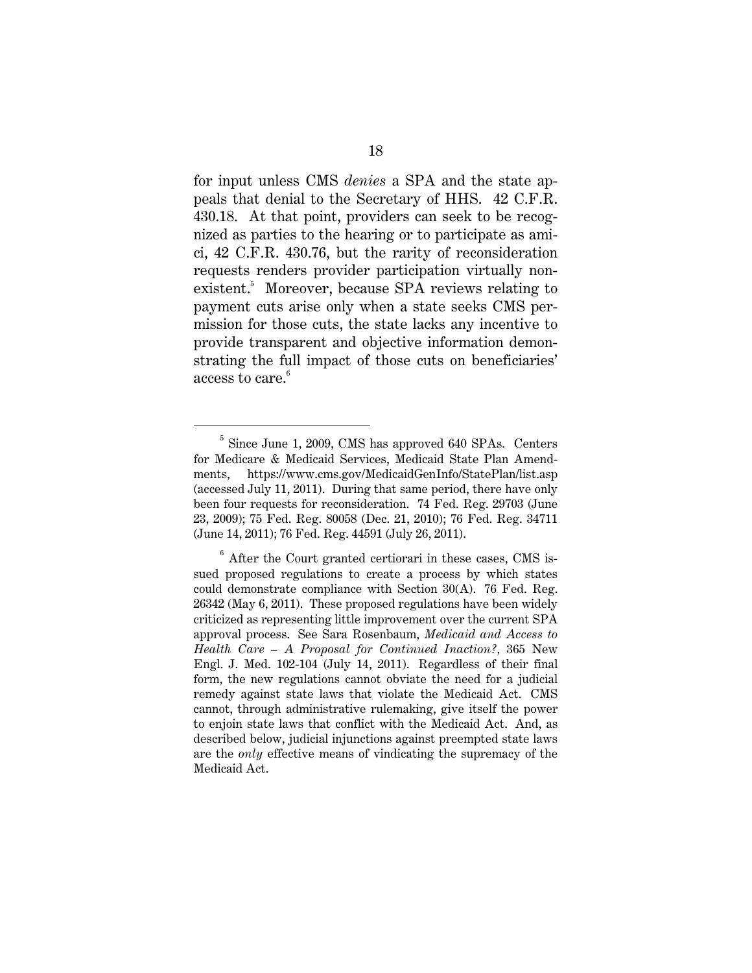for input unless CMS *denies* a SPA and the state appeals that denial to the Secretary of HHS. 42 C.F.R. 430.18. At that point, providers can seek to be recognized as parties to the hearing or to participate as amici, 42 C.F.R. 430.76, but the rarity of reconsideration requests renders provider participation virtually nonexistent.<sup>5</sup> Moreover, because SPA reviews relating to payment cuts arise only when a state seeks CMS permission for those cuts, the state lacks any incentive to provide transparent and objective information demonstrating the full impact of those cuts on beneficiaries' access to  $\mathrm{care.}^6$ 

 $rac{1}{5}$  $5$  Since June 1, 2009, CMS has approved 640 SPAs. Centers for Medicare & Medicaid Services, Medicaid State Plan Amendments, https://www.cms.gov/MedicaidGenInfo/StatePlan/list.asp (accessed July 11, 2011). During that same period, there have only been four requests for reconsideration. 74 Fed. Reg. 29703 (June 23, 2009); 75 Fed. Reg. 80058 (Dec. 21, 2010); 76 Fed. Reg. 34711 (June 14, 2011); 76 Fed. Reg. 44591 (July 26, 2011).

 $6$  After the Court granted certiorari in these cases, CMS issued proposed regulations to create a process by which states could demonstrate compliance with Section 30(A). 76 Fed. Reg. 26342 (May 6, 2011). These proposed regulations have been widely criticized as representing little improvement over the current SPA approval process. See Sara Rosenbaum, *Medicaid and Access to Health Care – A Proposal for Continued Inaction?,* 365 New Engl. J. Med. 102-104 (July 14, 2011). Regardless of their final form, the new regulations cannot obviate the need for a judicial remedy against state laws that violate the Medicaid Act. CMS cannot, through administrative rulemaking, give itself the power to enjoin state laws that conflict with the Medicaid Act. And, as described below, judicial injunctions against preempted state laws are the *only* effective means of vindicating the supremacy of the Medicaid Act.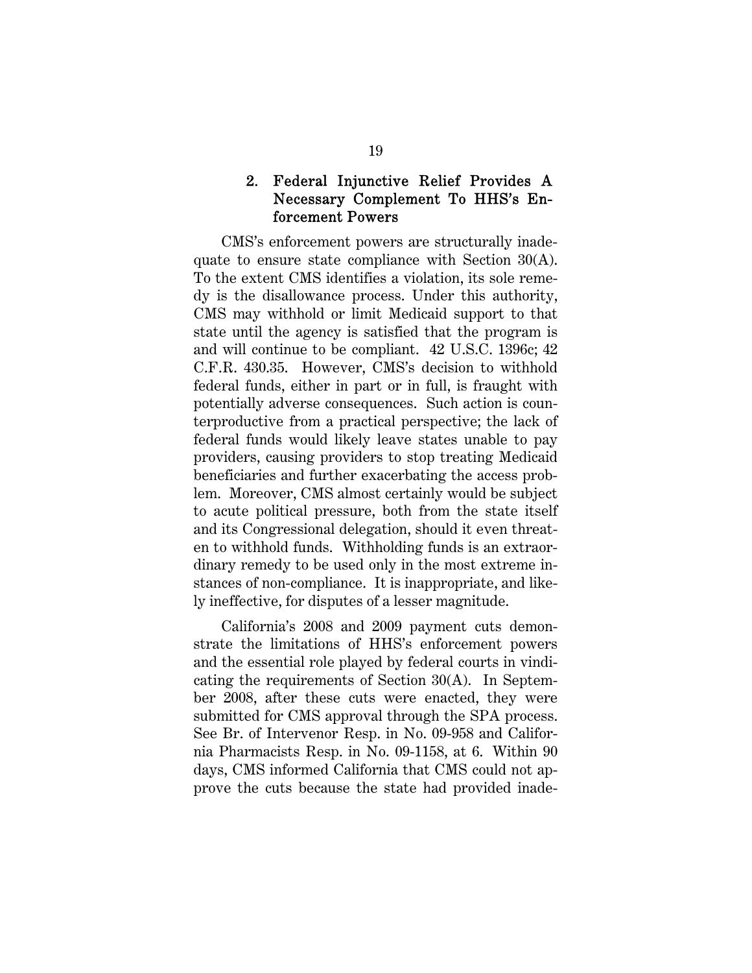#### 2. Federal Injunctive Relief Provides A Necessary Complement To HHS's Enforcement Powers

CMS's enforcement powers are structurally inadequate to ensure state compliance with Section 30(A). To the extent CMS identifies a violation, its sole remedy is the disallowance process. Under this authority, CMS may withhold or limit Medicaid support to that state until the agency is satisfied that the program is and will continue to be compliant. 42 U.S.C. 1396c; 42 C.F.R. 430.35. However, CMS's decision to withhold federal funds, either in part or in full, is fraught with potentially adverse consequences. Such action is counterproductive from a practical perspective; the lack of federal funds would likely leave states unable to pay providers, causing providers to stop treating Medicaid beneficiaries and further exacerbating the access problem. Moreover, CMS almost certainly would be subject to acute political pressure, both from the state itself and its Congressional delegation, should it even threaten to withhold funds. Withholding funds is an extraordinary remedy to be used only in the most extreme instances of non-compliance. It is inappropriate, and likely ineffective, for disputes of a lesser magnitude.

California's 2008 and 2009 payment cuts demonstrate the limitations of HHS's enforcement powers and the essential role played by federal courts in vindicating the requirements of Section 30(A). In September 2008, after these cuts were enacted, they were submitted for CMS approval through the SPA process. See Br. of Intervenor Resp. in No. 09-958 and California Pharmacists Resp. in No. 09-1158, at 6. Within 90 days, CMS informed California that CMS could not approve the cuts because the state had provided inade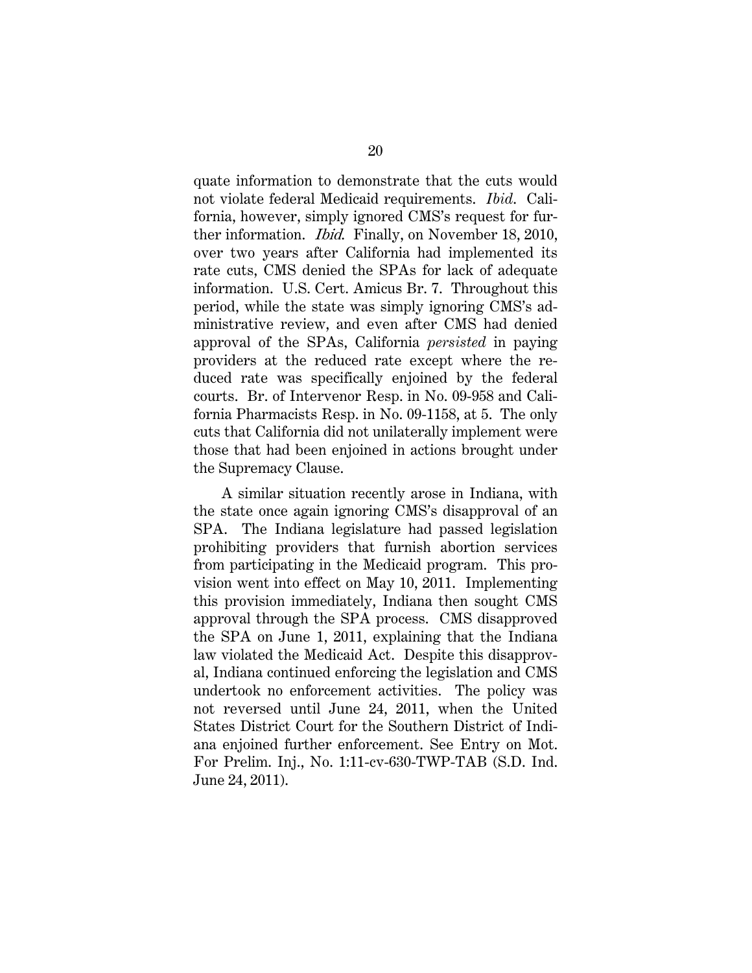quate information to demonstrate that the cuts would not violate federal Medicaid requirements. *Ibid*. California, however, simply ignored CMS's request for further information. Ibid. Finally, on November 18, 2010, over two years after California had implemented its rate cuts, CMS denied the SPAs for lack of adequate information. U.S. Cert. Amicus Br. 7. Throughout this period, while the state was simply ignoring CMS's administrative review, and even after CMS had denied approval of the SPAs, California *persisted* in paying providers at the reduced rate except where the reduced rate was specifically enjoined by the federal courts. Br. of Intervenor Resp. in No. 09-958 and California Pharmacists Resp. in No. 09-1158, at 5. The only cuts that California did not unilaterally implement were those that had been enjoined in actions brought under the Supremacy Clause.

A similar situation recently arose in Indiana, with the state once again ignoring CMS's disapproval of an SPA. The Indiana legislature had passed legislation prohibiting providers that furnish abortion services from participating in the Medicaid program. This provision went into effect on May 10, 2011. Implementing this provision immediately, Indiana then sought CMS approval through the SPA process. CMS disapproved the SPA on June 1, 2011, explaining that the Indiana law violated the Medicaid Act. Despite this disapproval, Indiana continued enforcing the legislation and CMS undertook no enforcement activities. The policy was not reversed until June 24, 2011, when the United States District Court for the Southern District of Indiana enjoined further enforcement. See Entry on Mot. For Prelim. Inj., No. 1:11-cv-630-TWP-TAB (S.D. Ind. June 24, 2011).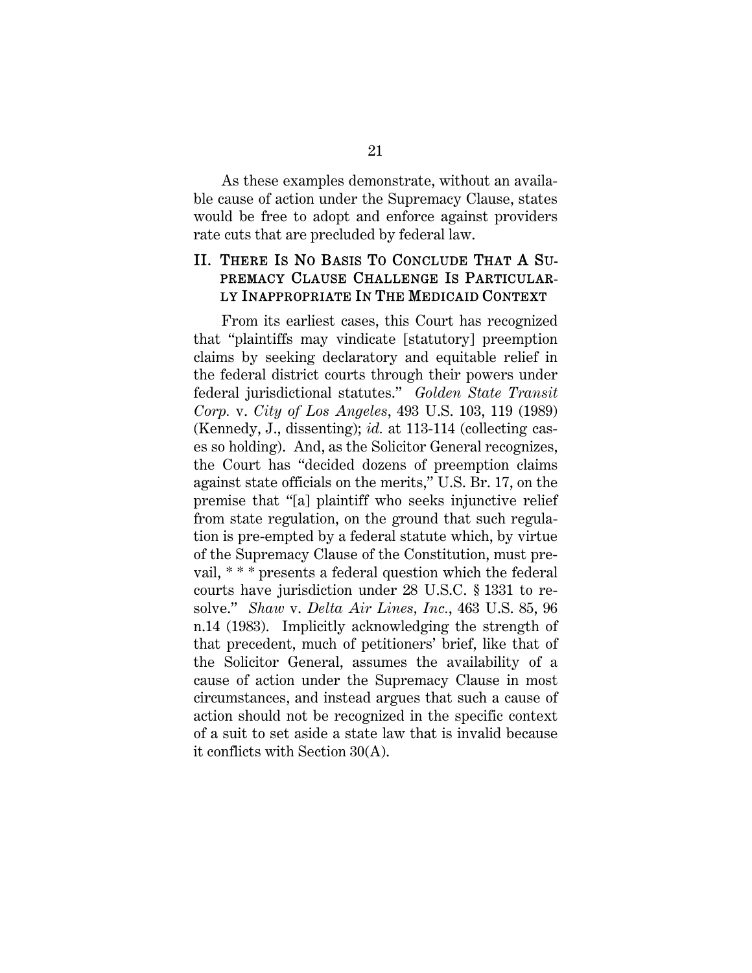As these examples demonstrate, without an available cause of action under the Supremacy Clause, states would be free to adopt and enforce against providers rate cuts that are precluded by federal law.

#### II. THERE IS NO BASIS TO CONCLUDE THAT A SU-PREMACY CLAUSE CHALLENGE IS PARTICULAR-LY INAPPROPRIATE IN THE MEDICAID CONTEXT

From its earliest cases, this Court has recognized that "plaintiffs may vindicate [statutory] preemption claims by seeking declaratory and equitable relief in the federal district courts through their powers under federal jurisdictional statutes." *Golden State Transit Corp.* v. *City of Los Angeles*, 493 U.S. 103, 119 (1989) (Kennedy, J., dissenting); *id.* at 113-114 (collecting cases so holding). And, as the Solicitor General recognizes, the Court has "decided dozens of preemption claims against state officials on the merits," U.S. Br. 17, on the premise that "[a] plaintiff who seeks injunctive relief from state regulation, on the ground that such regulation is pre-empted by a federal statute which, by virtue of the Supremacy Clause of the Constitution, must prevail, \* \* \* presents a federal question which the federal courts have jurisdiction under 28 U.S.C. § 1331 to resolve." *Shaw* v. *Delta Air Lines, Inc.*, 463 U.S. 85, 96 n.14 (1983). Implicitly acknowledging the strength of that precedent, much of petitioners' brief, like that of the Solicitor General, assumes the availability of a cause of action under the Supremacy Clause in most circumstances, and instead argues that such a cause of action should not be recognized in the specific context of a suit to set aside a state law that is invalid because it conflicts with Section 30(A).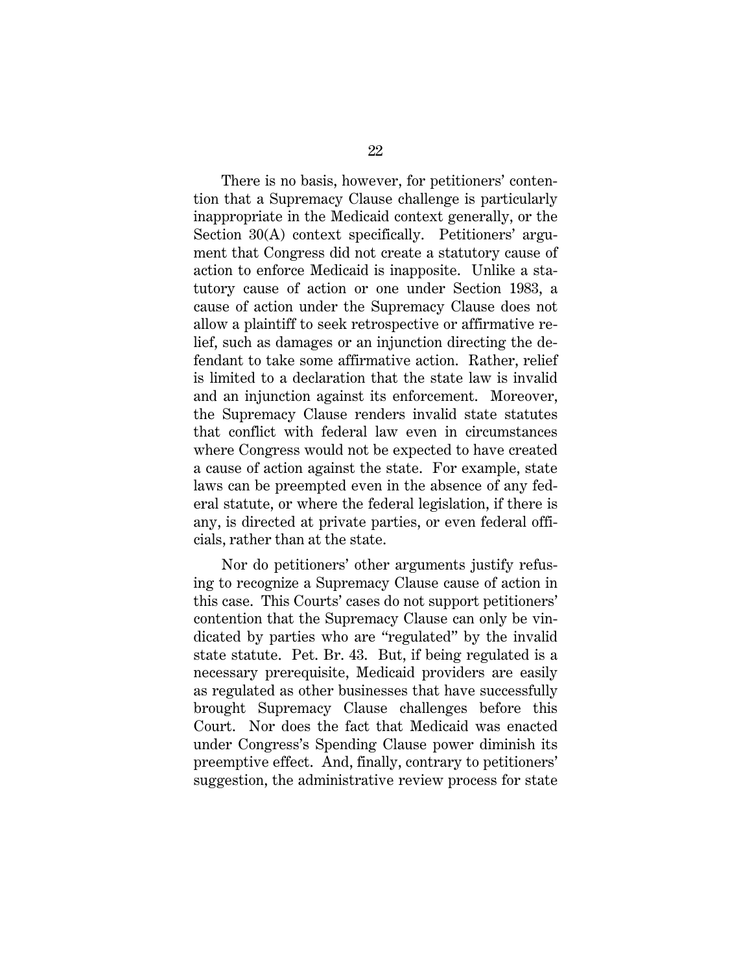There is no basis, however, for petitioners' contention that a Supremacy Clause challenge is particularly inappropriate in the Medicaid context generally, or the Section 30(A) context specifically. Petitioners' argument that Congress did not create a statutory cause of action to enforce Medicaid is inapposite. Unlike a statutory cause of action or one under Section 1983, a cause of action under the Supremacy Clause does not allow a plaintiff to seek retrospective or affirmative relief, such as damages or an injunction directing the defendant to take some affirmative action. Rather, relief is limited to a declaration that the state law is invalid and an injunction against its enforcement. Moreover, the Supremacy Clause renders invalid state statutes that conflict with federal law even in circumstances where Congress would not be expected to have created a cause of action against the state. For example, state laws can be preempted even in the absence of any federal statute, or where the federal legislation, if there is any, is directed at private parties, or even federal officials, rather than at the state.

Nor do petitioners' other arguments justify refusing to recognize a Supremacy Clause cause of action in this case. This Courts' cases do not support petitioners' contention that the Supremacy Clause can only be vindicated by parties who are "regulated" by the invalid state statute. Pet. Br. 43. But, if being regulated is a necessary prerequisite, Medicaid providers are easily as regulated as other businesses that have successfully brought Supremacy Clause challenges before this Court. Nor does the fact that Medicaid was enacted under Congress's Spending Clause power diminish its preemptive effect. And, finally, contrary to petitioners' suggestion, the administrative review process for state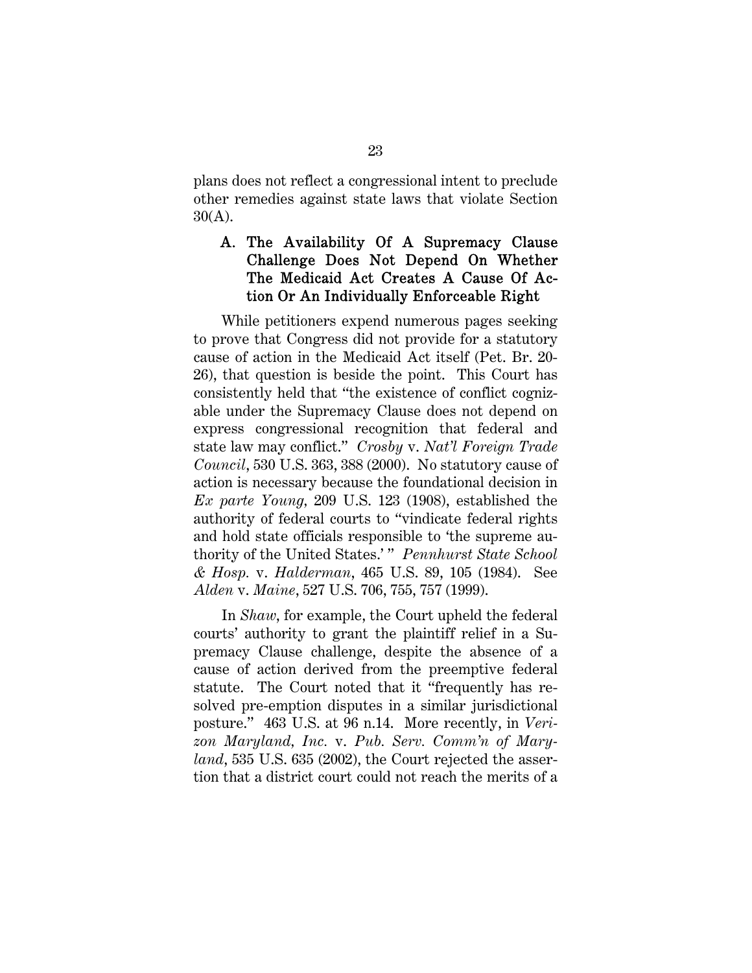plans does not reflect a congressional intent to preclude other remedies against state laws that violate Section 30(A).

#### A. The Availability Of A Supremacy Clause Challenge Does Not Depend On Whether The Medicaid Act Creates A Cause Of Action Or An Individually Enforceable Right

While petitioners expend numerous pages seeking to prove that Congress did not provide for a statutory cause of action in the Medicaid Act itself (Pet. Br. 20- 26), that question is beside the point. This Court has consistently held that "the existence of conflict cognizable under the Supremacy Clause does not depend on express congressional recognition that federal and state law may conflict." *Crosby* v. *Nat'l Foreign Trade Council*, 530 U.S. 363, 388 (2000). No statutory cause of action is necessary because the foundational decision in *Ex parte Young,* 209 U.S. 123 (1908), established the authority of federal courts to "vindicate federal rights and hold state officials responsible to 'the supreme authority of the United States.' " *Pennhurst State School & Hosp.* v. *Halderman*, 465 U.S. 89, 105 (1984). See *Alden* v. *Maine*, 527 U.S. 706, 755, 757 (1999).

In *Shaw*, for example, the Court upheld the federal courts' authority to grant the plaintiff relief in a Supremacy Clause challenge, despite the absence of a cause of action derived from the preemptive federal statute. The Court noted that it "frequently has resolved pre-emption disputes in a similar jurisdictional posture." 463 U.S. at 96 n.14. More recently, in *Verizon Maryland, Inc.* v. *Pub. Serv. Comm'n of Maryland*, 535 U.S. 635 (2002), the Court rejected the assertion that a district court could not reach the merits of a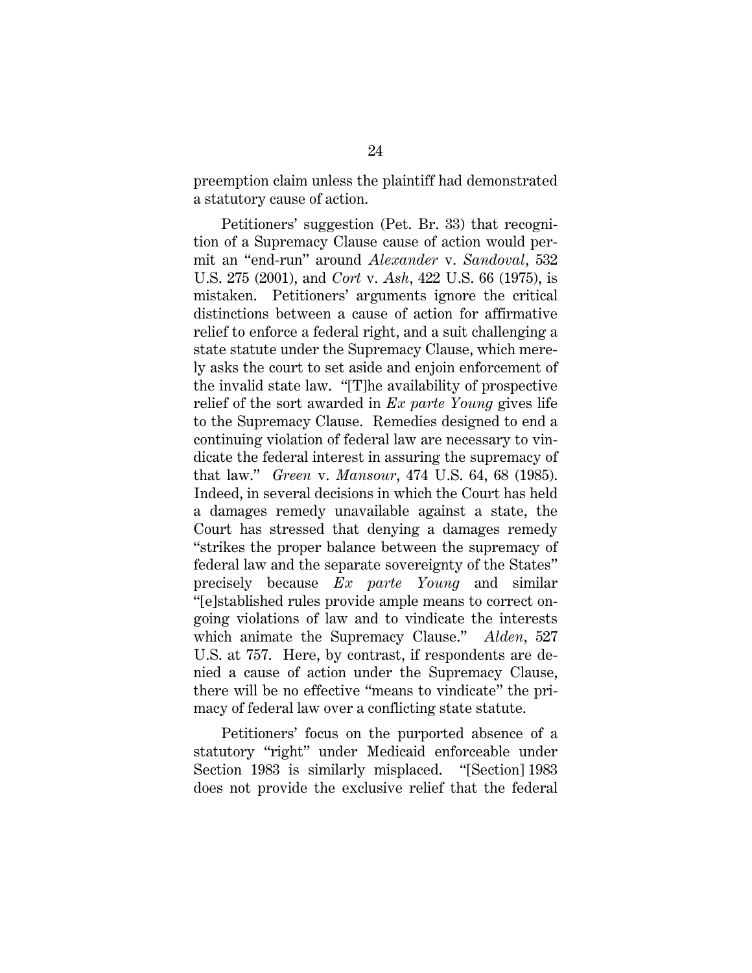preemption claim unless the plaintiff had demonstrated a statutory cause of action.

Petitioners' suggestion (Pet. Br. 33) that recognition of a Supremacy Clause cause of action would permit an "end-run" around *Alexander* v. *Sandoval*, 532 U.S. 275 (2001), and *Cort* v. *Ash*, 422 U.S. 66 (1975), is mistaken. Petitioners' arguments ignore the critical distinctions between a cause of action for affirmative relief to enforce a federal right, and a suit challenging a state statute under the Supremacy Clause, which merely asks the court to set aside and enjoin enforcement of the invalid state law. "[T]he availability of prospective relief of the sort awarded in *Ex parte Young* gives life to the Supremacy Clause. Remedies designed to end a continuing violation of federal law are necessary to vindicate the federal interest in assuring the supremacy of that law." *Green* v. *Mansour*, 474 U.S. 64, 68 (1985). Indeed, in several decisions in which the Court has held a damages remedy unavailable against a state, the Court has stressed that denying a damages remedy "strikes the proper balance between the supremacy of federal law and the separate sovereignty of the States" precisely because *Ex parte Young* and similar "[e]stablished rules provide ample means to correct ongoing violations of law and to vindicate the interests which animate the Supremacy Clause." *Alden*, 527 U.S. at 757. Here, by contrast, if respondents are denied a cause of action under the Supremacy Clause, there will be no effective "means to vindicate" the primacy of federal law over a conflicting state statute.

Petitioners' focus on the purported absence of a statutory "right" under Medicaid enforceable under Section 1983 is similarly misplaced. "[Section] 1983 does not provide the exclusive relief that the federal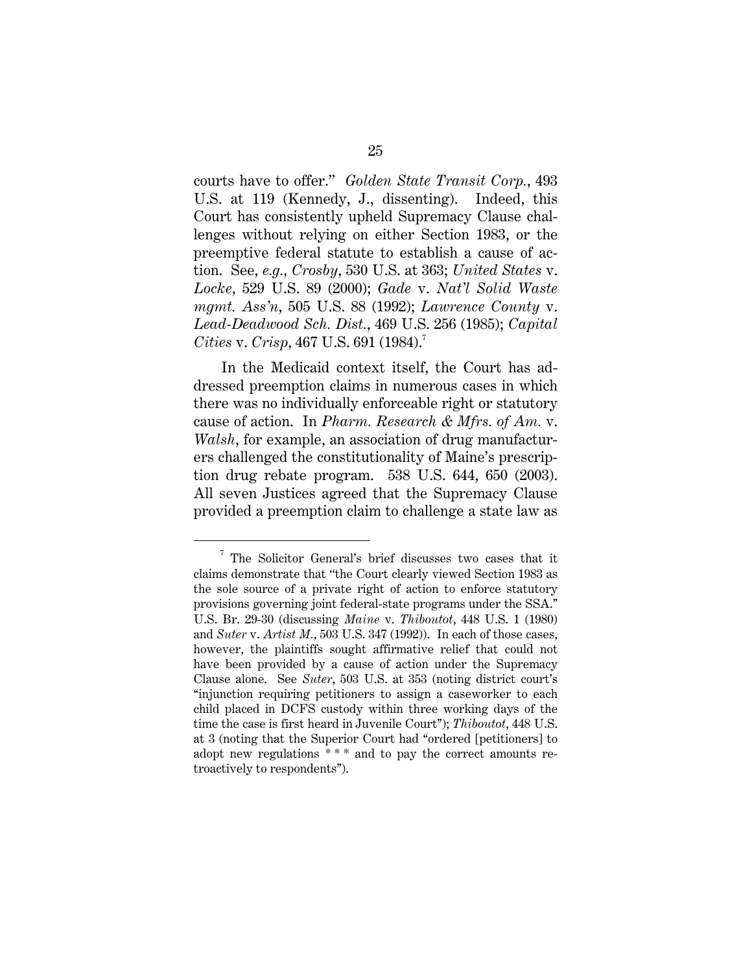courts have to offer." *Golden State Transit Corp.*, 493 U.S. at 119 (Kennedy, J., dissenting). Indeed, this Court has consistently upheld Supremacy Clause challenges without relying on either Section 1983, or the preemptive federal statute to establish a cause of action. See, *e.g.*, *Crosby*, 530 U.S. at 363; *United States* v. *Locke*, 529 U.S. 89 (2000); *Gade* v. *Nat'l Solid Waste mgmt. Ass'n*, 505 U.S. 88 (1992); *Lawrence County* v. *Lead-Deadwood Sch. Dist.*, 469 U.S. 256 (1985); *Capital Cities* v. *Crisp*, 467 U.S. 691 (1984).<sup>7</sup>

In the Medicaid context itself, the Court has addressed preemption claims in numerous cases in which there was no individually enforceable right or statutory cause of action. In *Pharm. Research & Mfrs. of Am.* v. *Walsh*, for example, an association of drug manufacturers challenged the constitutionality of Maine's prescription drug rebate program. 538 U.S. 644, 650 (2003). All seven Justices agreed that the Supremacy Clause provided a preemption claim to challenge a state law as

 $\frac{1}{7}$  $7$  The Solicitor General's brief discusses two cases that it claims demonstrate that "the Court clearly viewed Section 1983 as the sole source of a private right of action to enforce statutory provisions governing joint federal-state programs under the SSA.'' U.S. Br. 29-30 (discussing *Maine* v. *Thiboutot*, 448 U.S. 1 (1980) and *Suter* v. *Artist M.*, 503 U.S. 347 (1992)). In each of those cases, however, the plaintiffs sought affirmative relief that could not have been provided by a cause of action under the Supremacy Clause alone. See *Suter*, 503 U.S. at 353 (noting district court's ''injunction requiring petitioners to assign a caseworker to each child placed in DCFS custody within three working days of the time the case is first heard in Juvenile Court''); *Thiboutot*, 448 U.S. at 3 (noting that the Superior Court had ''ordered [petitioners] to adopt new regulations \* \* \* and to pay the correct amounts retroactively to respondents'').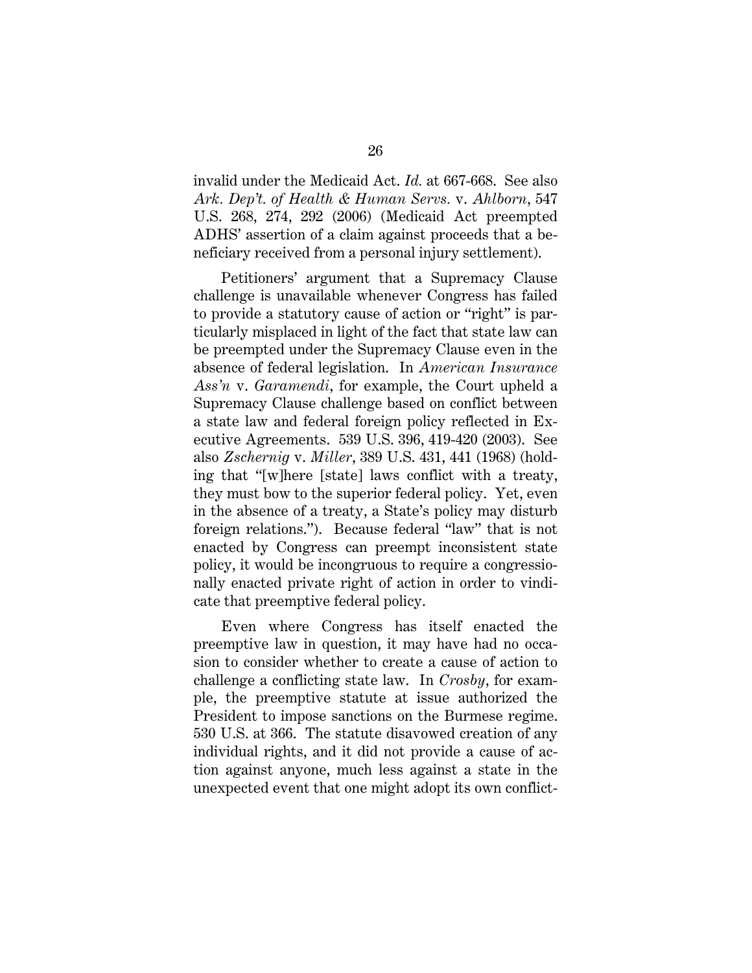invalid under the Medicaid Act. *Id.* at 667-668. See also *Ark. Dep't. of Health & Human Servs.* v. *Ahlborn*, 547 U.S. 268, 274, 292 (2006) (Medicaid Act preempted ADHS' assertion of a claim against proceeds that a beneficiary received from a personal injury settlement).

Petitioners' argument that a Supremacy Clause challenge is unavailable whenever Congress has failed to provide a statutory cause of action or "right" is particularly misplaced in light of the fact that state law can be preempted under the Supremacy Clause even in the absence of federal legislation. In *American Insurance Ass'n* v. *Garamendi*, for example, the Court upheld a Supremacy Clause challenge based on conflict between a state law and federal foreign policy reflected in Executive Agreements. 539 U.S. 396, 419-420 (2003). See also *Zschernig* v. *Miller*, 389 U.S. 431, 441 (1968) (holding that "[w]here [state] laws conflict with a treaty, they must bow to the superior federal policy. Yet, even in the absence of a treaty, a State's policy may disturb foreign relations."). Because federal "law" that is not enacted by Congress can preempt inconsistent state policy, it would be incongruous to require a congressionally enacted private right of action in order to vindicate that preemptive federal policy.

Even where Congress has itself enacted the preemptive law in question, it may have had no occasion to consider whether to create a cause of action to challenge a conflicting state law. In *Crosby*, for example, the preemptive statute at issue authorized the President to impose sanctions on the Burmese regime. 530 U.S. at 366. The statute disavowed creation of any individual rights, and it did not provide a cause of action against anyone, much less against a state in the unexpected event that one might adopt its own conflict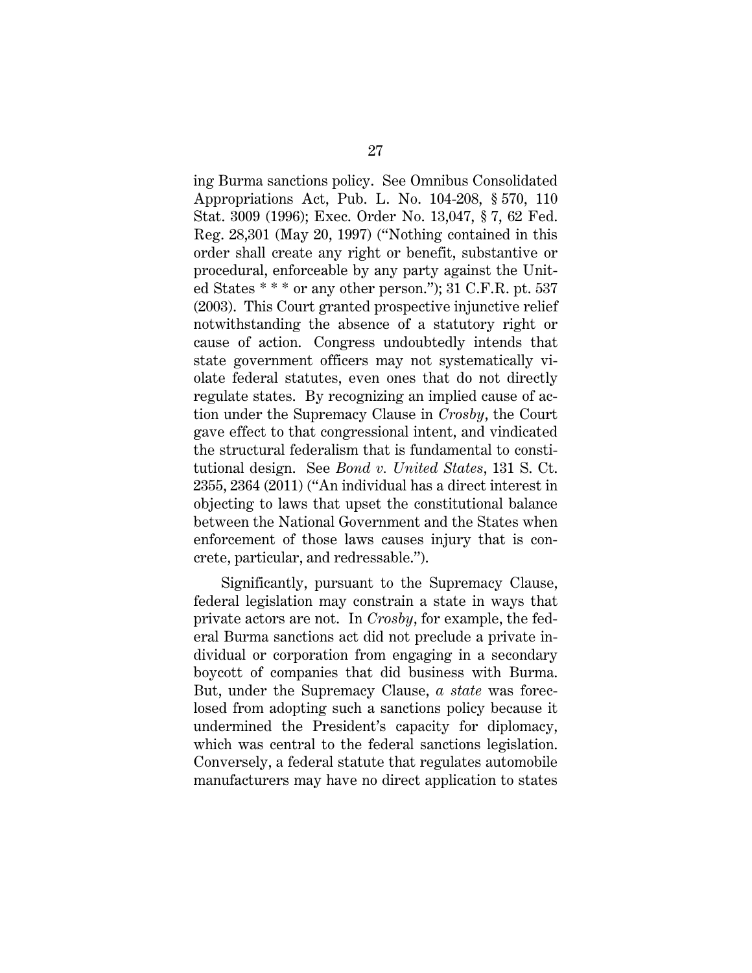ing Burma sanctions policy. See Omnibus Consolidated Appropriations Act, Pub. L. No. 104-208, § 570, 110 Stat. 3009 (1996); Exec. Order No. 13,047, § 7, 62 Fed. Reg. 28,301 (May 20, 1997) ("Nothing contained in this order shall create any right or benefit, substantive or procedural, enforceable by any party against the United States \* \* \* or any other person."); 31 C.F.R. pt. 537 (2003). This Court granted prospective injunctive relief notwithstanding the absence of a statutory right or cause of action. Congress undoubtedly intends that state government officers may not systematically violate federal statutes, even ones that do not directly regulate states. By recognizing an implied cause of action under the Supremacy Clause in *Crosby*, the Court gave effect to that congressional intent, and vindicated the structural federalism that is fundamental to constitutional design. See *Bond v. United States*, 131 S. Ct. 2355, 2364 (2011) ("An individual has a direct interest in objecting to laws that upset the constitutional balance between the National Government and the States when enforcement of those laws causes injury that is concrete, particular, and redressable.").

Significantly, pursuant to the Supremacy Clause, federal legislation may constrain a state in ways that private actors are not. In *Crosby*, for example, the federal Burma sanctions act did not preclude a private individual or corporation from engaging in a secondary boycott of companies that did business with Burma. But, under the Supremacy Clause, *a state* was foreclosed from adopting such a sanctions policy because it undermined the President's capacity for diplomacy, which was central to the federal sanctions legislation. Conversely, a federal statute that regulates automobile manufacturers may have no direct application to states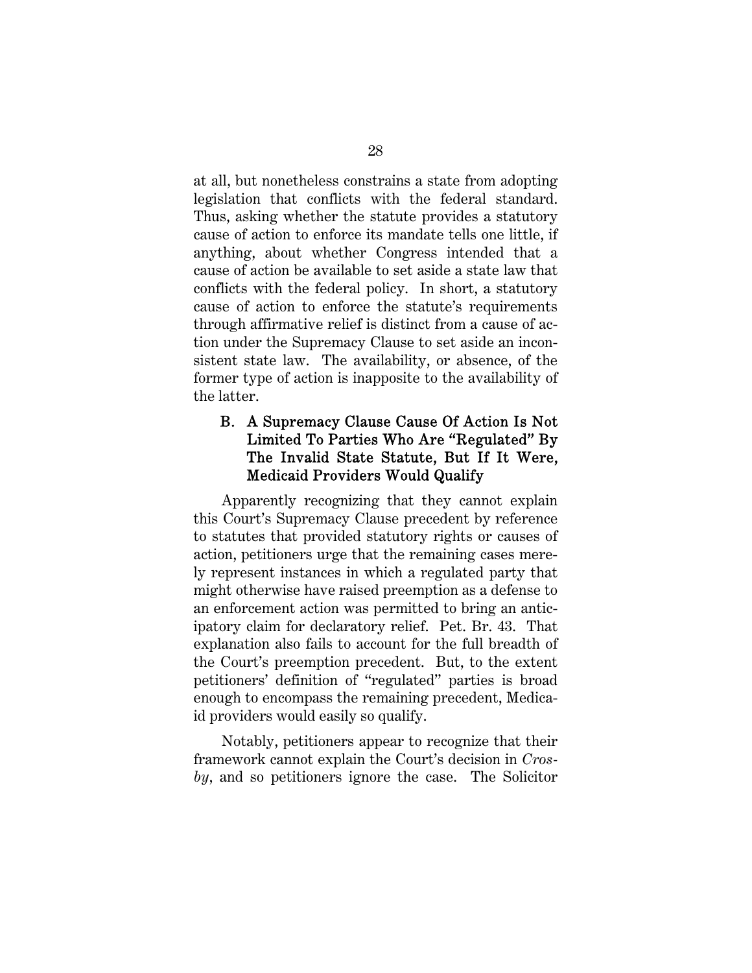at all, but nonetheless constrains a state from adopting legislation that conflicts with the federal standard. Thus, asking whether the statute provides a statutory cause of action to enforce its mandate tells one little, if anything, about whether Congress intended that a cause of action be available to set aside a state law that conflicts with the federal policy. In short, a statutory cause of action to enforce the statute's requirements through affirmative relief is distinct from a cause of action under the Supremacy Clause to set aside an inconsistent state law. The availability, or absence, of the former type of action is inapposite to the availability of the latter.

#### B. A Supremacy Clause Cause Of Action Is Not Limited To Parties Who Are "Regulated" By The Invalid State Statute, But If It Were, Medicaid Providers Would Qualify

Apparently recognizing that they cannot explain this Court's Supremacy Clause precedent by reference to statutes that provided statutory rights or causes of action, petitioners urge that the remaining cases merely represent instances in which a regulated party that might otherwise have raised preemption as a defense to an enforcement action was permitted to bring an anticipatory claim for declaratory relief. Pet. Br. 43. That explanation also fails to account for the full breadth of the Court's preemption precedent. But, to the extent petitioners' definition of "regulated" parties is broad enough to encompass the remaining precedent, Medicaid providers would easily so qualify.

Notably, petitioners appear to recognize that their framework cannot explain the Court's decision in *Crosby*, and so petitioners ignore the case. The Solicitor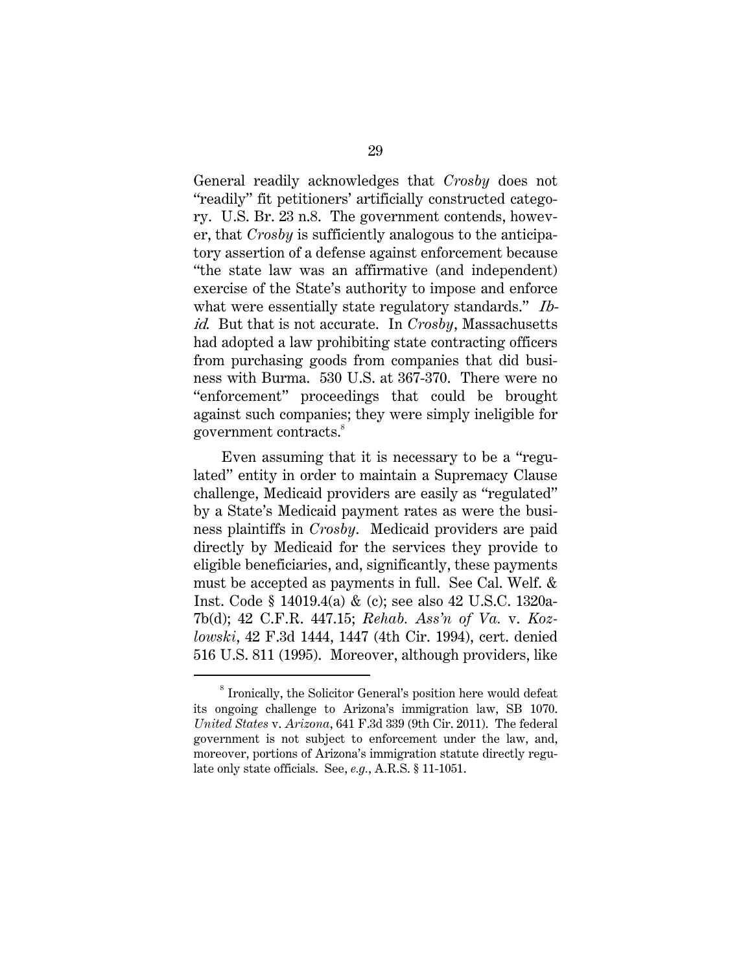General readily acknowledges that *Crosby* does not "readily" fit petitioners' artificially constructed category. U.S. Br. 23 n.8. The government contends, however, that *Crosby* is sufficiently analogous to the anticipatory assertion of a defense against enforcement because "the state law was an affirmative (and independent) exercise of the State's authority to impose and enforce what were essentially state regulatory standards." Ibid. But that is not accurate. In *Crosby*, Massachusetts had adopted a law prohibiting state contracting officers from purchasing goods from companies that did business with Burma. 530 U.S. at 367-370. There were no "enforcement" proceedings that could be brought against such companies; they were simply ineligible for government contracts.<sup>8</sup>

Even assuming that it is necessary to be a "regulated" entity in order to maintain a Supremacy Clause challenge, Medicaid providers are easily as "regulated" by a State's Medicaid payment rates as were the business plaintiffs in *Crosby*. Medicaid providers are paid directly by Medicaid for the services they provide to eligible beneficiaries, and, significantly, these payments must be accepted as payments in full. See Cal. Welf. & Inst. Code § 14019.4(a) & (c); see also 42 U.S.C. 1320a-7b(d); 42 C.F.R. 447.15; *Rehab. Ass'n of Va.* v. *Kozlowski*, 42 F.3d 1444, 1447 (4th Cir. 1994), cert. denied 516 U.S. 811 (1995). Moreover, although providers, like

 <sup>8</sup> <sup>8</sup> Ironically, the Solicitor General's position here would defeat its ongoing challenge to Arizona's immigration law, SB 1070. *United States* v. *Arizona*, 641 F.3d 339 (9th Cir. 2011). The federal government is not subject to enforcement under the law, and, moreover, portions of Arizona's immigration statute directly regulate only state officials. See, *e.g.*, A.R.S. § 11-1051.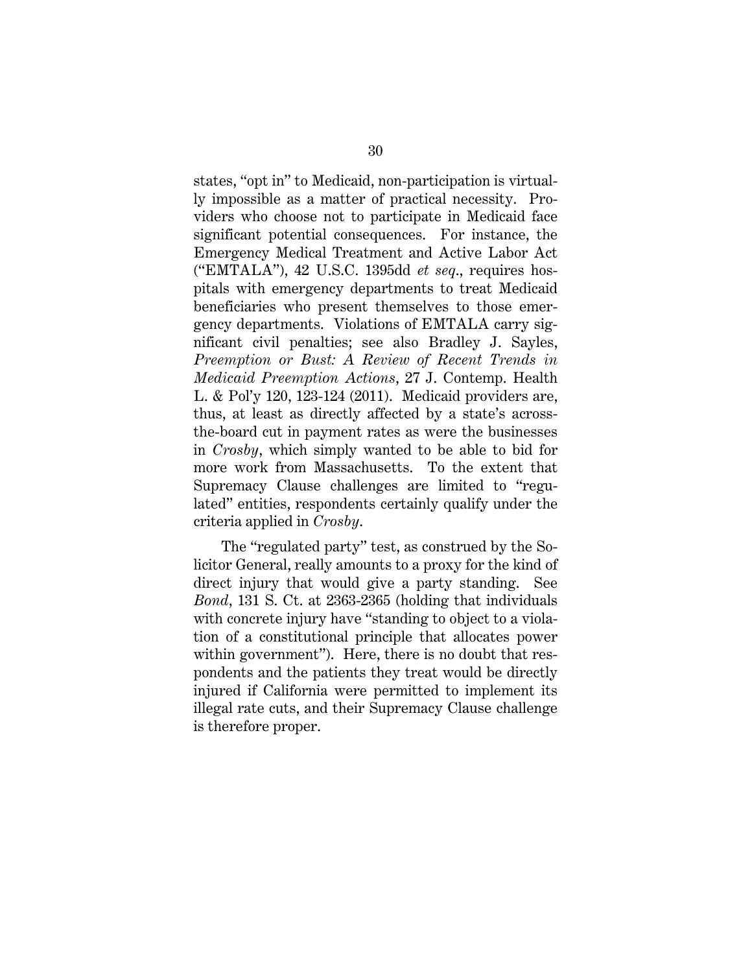states, "opt in" to Medicaid, non-participation is virtually impossible as a matter of practical necessity. Providers who choose not to participate in Medicaid face significant potential consequences. For instance, the Emergency Medical Treatment and Active Labor Act ("EMTALA"), 42 U.S.C. 1395dd *et seq*., requires hospitals with emergency departments to treat Medicaid beneficiaries who present themselves to those emergency departments. Violations of EMTALA carry significant civil penalties; see also Bradley J. Sayles, *Preemption or Bust: A Review of Recent Trends in Medicaid Preemption Actions*, 27 J. Contemp. Health L. & Pol'y 120, 123-124 (2011). Medicaid providers are, thus, at least as directly affected by a state's acrossthe-board cut in payment rates as were the businesses in *Crosby*, which simply wanted to be able to bid for more work from Massachusetts. To the extent that Supremacy Clause challenges are limited to "regulated" entities, respondents certainly qualify under the criteria applied in *Crosby*.

The "regulated party" test, as construed by the Solicitor General, really amounts to a proxy for the kind of direct injury that would give a party standing. See *Bond*, 131 S. Ct. at 2363-2365 (holding that individuals with concrete injury have "standing to object to a violation of a constitutional principle that allocates power within government"). Here, there is no doubt that respondents and the patients they treat would be directly injured if California were permitted to implement its illegal rate cuts, and their Supremacy Clause challenge is therefore proper.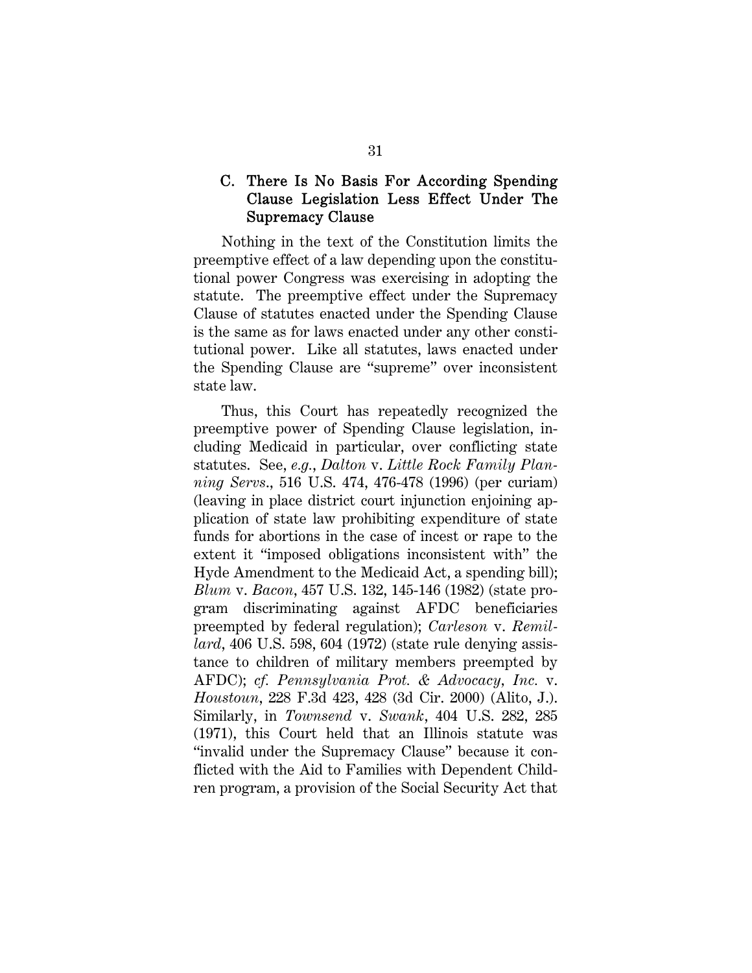#### C. There Is No Basis For According Spending Clause Legislation Less Effect Under The Supremacy Clause

Nothing in the text of the Constitution limits the preemptive effect of a law depending upon the constitutional power Congress was exercising in adopting the statute. The preemptive effect under the Supremacy Clause of statutes enacted under the Spending Clause is the same as for laws enacted under any other constitutional power. Like all statutes, laws enacted under the Spending Clause are "supreme" over inconsistent state law.

Thus, this Court has repeatedly recognized the preemptive power of Spending Clause legislation, including Medicaid in particular, over conflicting state statutes. See, *e.g.*, *Dalton* v. *Little Rock Family Planning Servs*., 516 U.S. 474, 476-478 (1996) (per curiam) (leaving in place district court injunction enjoining application of state law prohibiting expenditure of state funds for abortions in the case of incest or rape to the extent it "imposed obligations inconsistent with" the Hyde Amendment to the Medicaid Act, a spending bill); *Blum* v. *Bacon*, 457 U.S. 132, 145-146 (1982) (state program discriminating against AFDC beneficiaries preempted by federal regulation); *Carleson* v. *Remillard*, 406 U.S. 598, 604 (1972) (state rule denying assistance to children of military members preempted by AFDC); *cf. Pennsylvania Prot. & Advocacy, Inc.* v. *Houstoun*, 228 F.3d 423, 428 (3d Cir. 2000) (Alito, J.). Similarly, in *Townsend* v. *Swank*, 404 U.S. 282, 285 (1971), this Court held that an Illinois statute was "invalid under the Supremacy Clause" because it conflicted with the Aid to Families with Dependent Children program, a provision of the Social Security Act that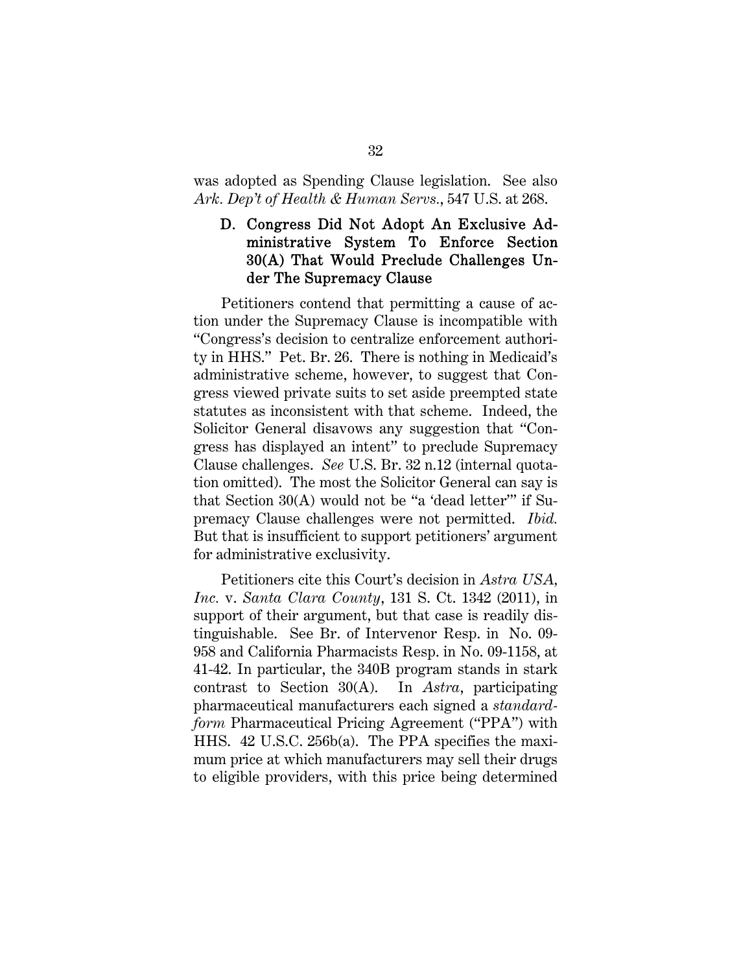was adopted as Spending Clause legislation. See also *Ark. Dep't of Health & Human Servs.*, 547 U.S. at 268.

#### D. Congress Did Not Adopt An Exclusive Administrative System To Enforce Section 30(A) That Would Preclude Challenges Under The Supremacy Clause

Petitioners contend that permitting a cause of action under the Supremacy Clause is incompatible with "Congress's decision to centralize enforcement authority in HHS." Pet. Br. 26. There is nothing in Medicaid's administrative scheme, however, to suggest that Congress viewed private suits to set aside preempted state statutes as inconsistent with that scheme. Indeed, the Solicitor General disavows any suggestion that "Congress has displayed an intent" to preclude Supremacy Clause challenges. *See* U.S. Br. 32 n.12 (internal quotation omitted). The most the Solicitor General can say is that Section 30(A) would not be "a 'dead letter'" if Supremacy Clause challenges were not permitted. *Ibid.* But that is insufficient to support petitioners' argument for administrative exclusivity.

Petitioners cite this Court's decision in *Astra USA, Inc.* v. *Santa Clara County*, 131 S. Ct. 1342 (2011), in support of their argument, but that case is readily distinguishable. See Br. of Intervenor Resp. in No. 09- 958 and California Pharmacists Resp. in No. 09-1158, at 41-42. In particular, the 340B program stands in stark contrast to Section 30(A). In *Astra*, participating pharmaceutical manufacturers each signed a *standardform* Pharmaceutical Pricing Agreement ("PPA") with HHS. 42 U.S.C. 256b(a). The PPA specifies the maximum price at which manufacturers may sell their drugs to eligible providers, with this price being determined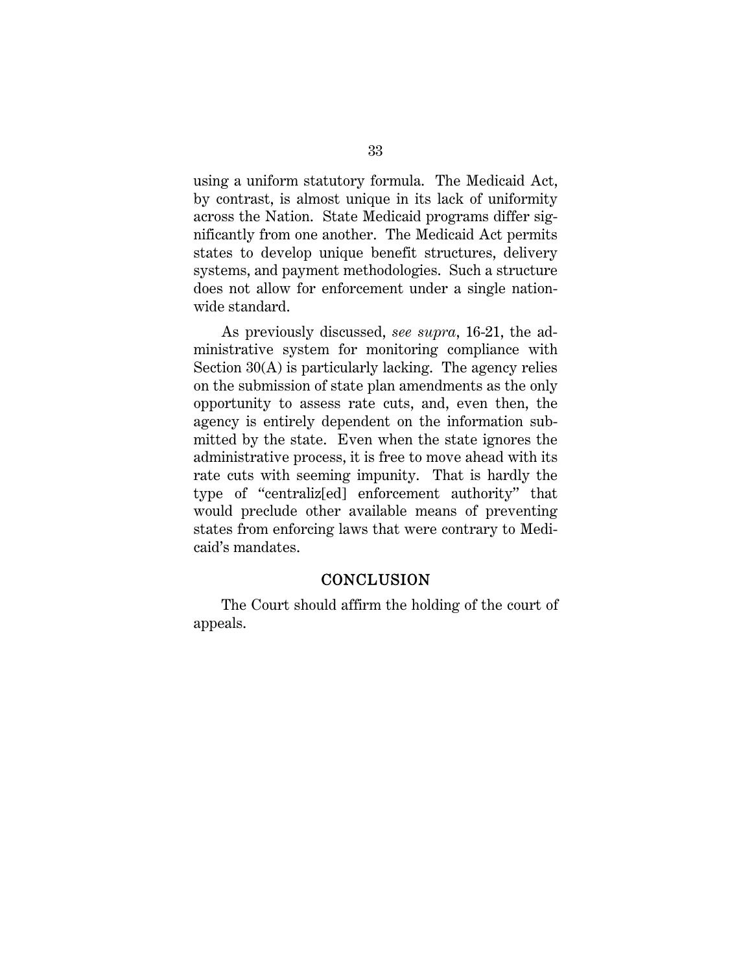using a uniform statutory formula. The Medicaid Act, by contrast, is almost unique in its lack of uniformity across the Nation. State Medicaid programs differ significantly from one another. The Medicaid Act permits states to develop unique benefit structures, delivery systems, and payment methodologies. Such a structure does not allow for enforcement under a single nationwide standard.

As previously discussed, *see supra*, 16-21, the administrative system for monitoring compliance with Section 30(A) is particularly lacking. The agency relies on the submission of state plan amendments as the only opportunity to assess rate cuts, and, even then, the agency is entirely dependent on the information submitted by the state. Even when the state ignores the administrative process, it is free to move ahead with its rate cuts with seeming impunity. That is hardly the type of "centraliz[ed] enforcement authority" that would preclude other available means of preventing states from enforcing laws that were contrary to Medicaid's mandates.

#### **CONCLUSION**

The Court should affirm the holding of the court of appeals.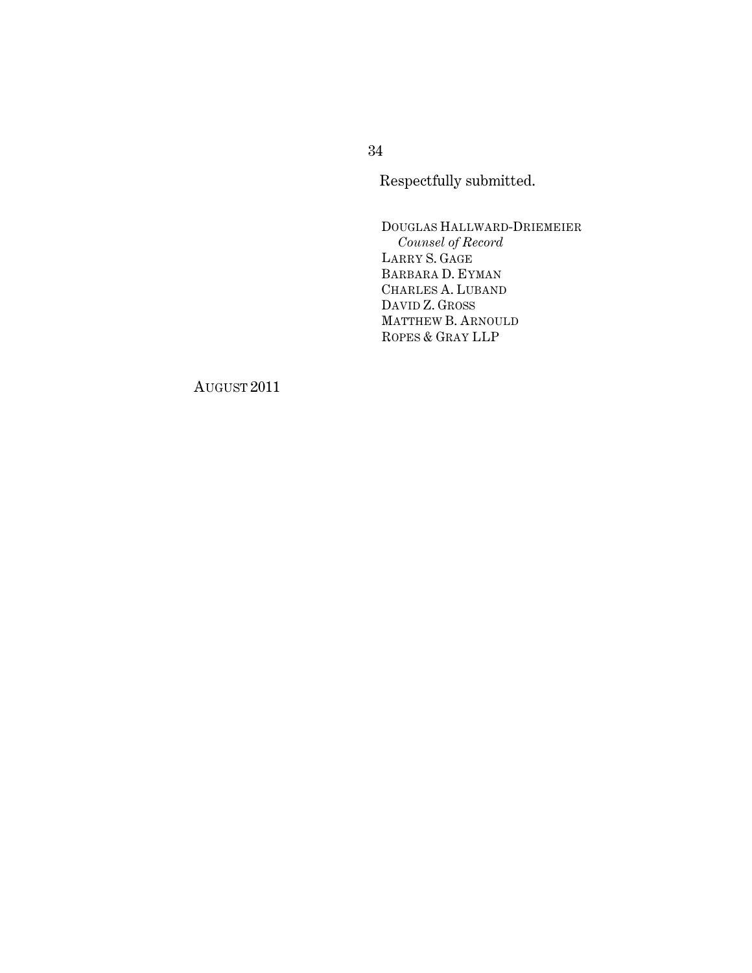Respectfully submitted.

DOUGLAS HALLWARD-DRIEMEIER *Counsel of Record* LARRY S. GAGE BARBARA D. EYMAN CHARLES A. LUBAND DAVID Z. GROSS MATTHEW B. ARNOULD ROPES & GRAY LLP

AUGUST 2011

34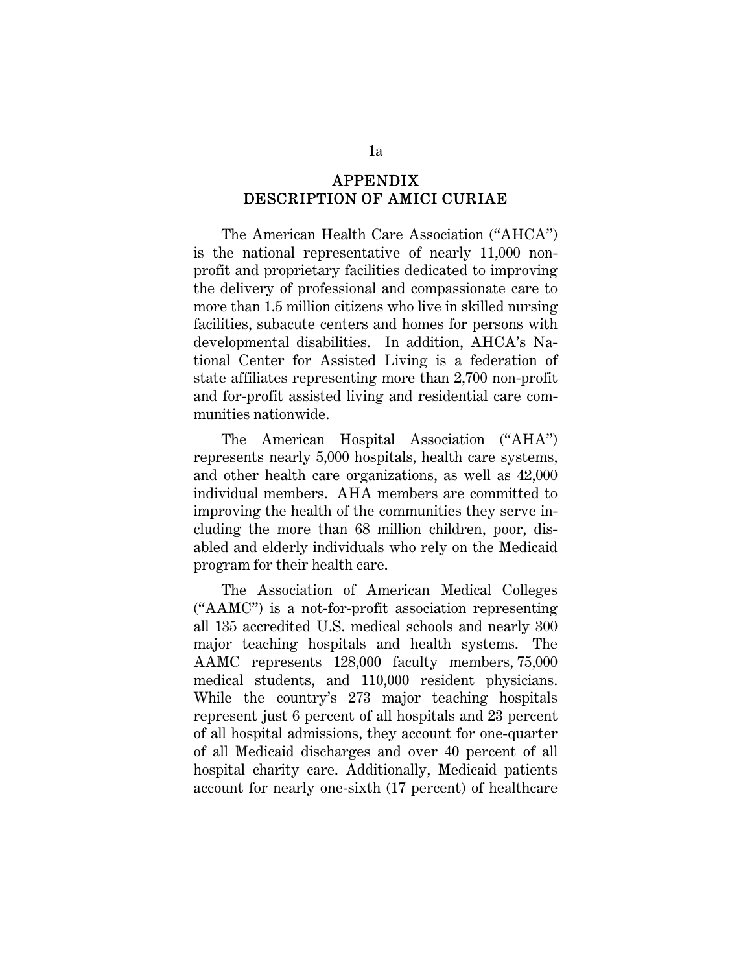#### APPENDIX DESCRIPTION OF AMICI CURIAE

The American Health Care Association ("AHCA") is the national representative of nearly 11,000 nonprofit and proprietary facilities dedicated to improving the delivery of professional and compassionate care to more than 1.5 million citizens who live in skilled nursing facilities, subacute centers and homes for persons with developmental disabilities. In addition, AHCA's National Center for Assisted Living is a federation of state affiliates representing more than 2,700 non-profit and for-profit assisted living and residential care communities nationwide.

The American Hospital Association ("AHA") represents nearly 5,000 hospitals, health care systems, and other health care organizations, as well as 42,000 individual members. AHA members are committed to improving the health of the communities they serve including the more than 68 million children, poor, disabled and elderly individuals who rely on the Medicaid program for their health care.

The Association of American Medical Colleges ("AAMC") is a not-for-profit association representing all 135 accredited U.S. medical schools and nearly 300 major teaching hospitals and health systems. The AAMC represents 128,000 faculty members, 75,000 medical students, and 110,000 resident physicians. While the country's 273 major teaching hospitals represent just 6 percent of all hospitals and 23 percent of all hospital admissions, they account for one-quarter of all Medicaid discharges and over 40 percent of all hospital charity care. Additionally, Medicaid patients account for nearly one-sixth (17 percent) of healthcare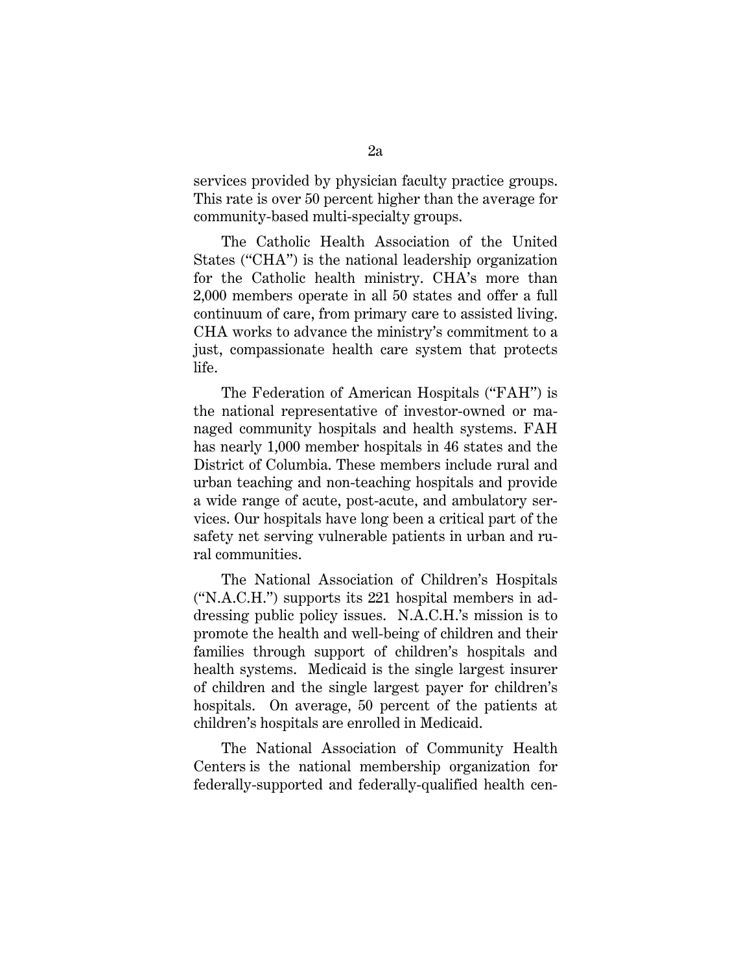services provided by physician faculty practice groups. This rate is over 50 percent higher than the average for community-based multi-specialty groups.

The Catholic Health Association of the United States ("CHA") is the national leadership organization for the Catholic health ministry. CHA's more than 2,000 members operate in all 50 states and offer a full continuum of care, from primary care to assisted living. CHA works to advance the ministry's commitment to a just, compassionate health care system that protects life.

The Federation of American Hospitals ("FAH") is the national representative of investor-owned or managed community hospitals and health systems. FAH has nearly 1,000 member hospitals in 46 states and the District of Columbia. These members include rural and urban teaching and non-teaching hospitals and provide a wide range of acute, post-acute, and ambulatory services. Our hospitals have long been a critical part of the safety net serving vulnerable patients in urban and rural communities.

The National Association of Children's Hospitals ("N.A.C.H.") supports its 221 hospital members in addressing public policy issues. N.A.C.H.'s mission is to promote the health and well-being of children and their families through support of children's hospitals and health systems. Medicaid is the single largest insurer of children and the single largest payer for children's hospitals. On average, 50 percent of the patients at children's hospitals are enrolled in Medicaid.

The National Association of Community Health Centers is the national membership organization for federally-supported and federally-qualified health cen